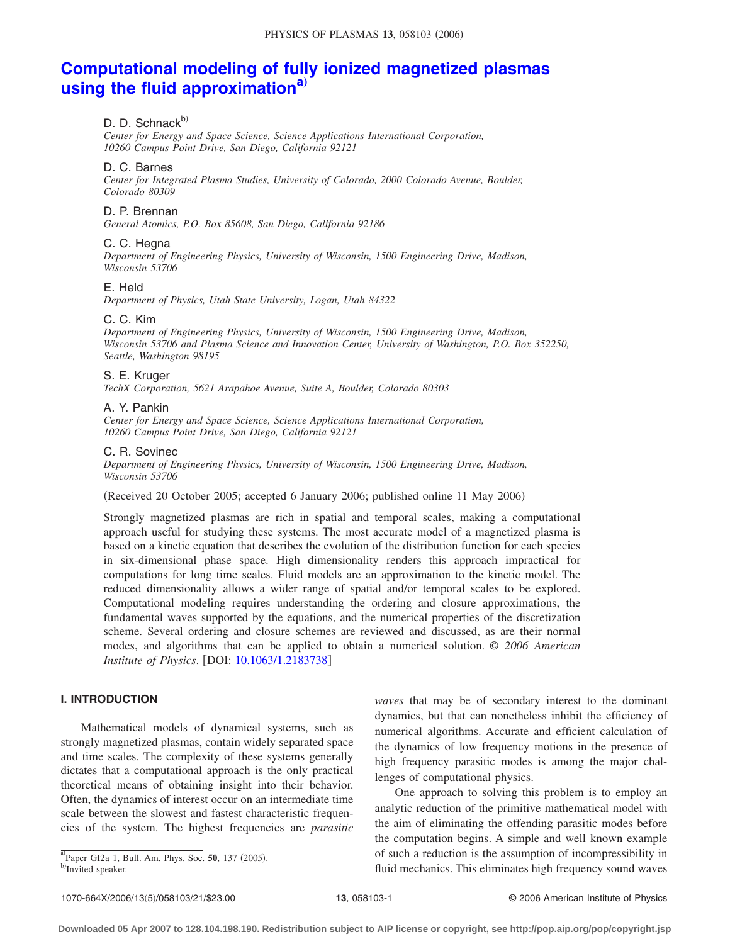# **[Computational modeling of fully ionized magnetized plasmas](http://dx.doi.org/10.1063/1.2183738) using the fluid approximation<sup>a)</sup>**

D. D. Schnack $b$ 

*Center for Energy and Space Science, Science Applications International Corporation, 10260 Campus Point Drive, San Diego, California 92121*

### D. C. Barnes

*Center for Integrated Plasma Studies, University of Colorado, 2000 Colorado Avenue, Boulder, Colorado 80309*

### D. P. Brennan

*General Atomics, P.O. Box 85608, San Diego, California 92186*

### C. C. Hegna

*Department of Engineering Physics, University of Wisconsin, 1500 Engineering Drive, Madison, Wisconsin 53706*

# E. Held

*Department of Physics, Utah State University, Logan, Utah 84322*

#### C. C. Kim

*Department of Engineering Physics, University of Wisconsin, 1500 Engineering Drive, Madison, Wisconsin 53706 and Plasma Science and Innovation Center, University of Washington, P.O. Box 352250, Seattle, Washington 98195*

### S. E. Kruger

*TechX Corporation, 5621 Arapahoe Avenue, Suite A, Boulder, Colorado 80303*

### A. Y. Pankin

*Center for Energy and Space Science, Science Applications International Corporation, 10260 Campus Point Drive, San Diego, California 92121*

#### C. R. Sovinec

*Department of Engineering Physics, University of Wisconsin, 1500 Engineering Drive, Madison, Wisconsin 53706*

(Received 20 October 2005; accepted 6 January 2006; published online 11 May 2006)

Strongly magnetized plasmas are rich in spatial and temporal scales, making a computational approach useful for studying these systems. The most accurate model of a magnetized plasma is based on a kinetic equation that describes the evolution of the distribution function for each species in six-dimensional phase space. High dimensionality renders this approach impractical for computations for long time scales. Fluid models are an approximation to the kinetic model. The reduced dimensionality allows a wider range of spatial and/or temporal scales to be explored. Computational modeling requires understanding the ordering and closure approximations, the fundamental waves supported by the equations, and the numerical properties of the discretization scheme. Several ordering and closure schemes are reviewed and discussed, as are their normal modes, and algorithms that can be applied to obtain a numerical solution. © *2006 American Institute of Physics.* [DOI: [10.1063/1.2183738](http://dx.doi.org/10.1063/1.2183738)]

# **I. INTRODUCTION**

Mathematical models of dynamical systems, such as strongly magnetized plasmas, contain widely separated space and time scales. The complexity of these systems generally dictates that a computational approach is the only practical theoretical means of obtaining insight into their behavior. Often, the dynamics of interest occur on an intermediate time scale between the slowest and fastest characteristic frequencies of the system. The highest frequencies are *parasitic*

 ${}^{a}$ Paper GI2a 1, Bull. Am. Phys. Soc. **50**, 137 (2005).

*waves* that may be of secondary interest to the dominant dynamics, but that can nonetheless inhibit the efficiency of numerical algorithms. Accurate and efficient calculation of the dynamics of low frequency motions in the presence of high frequency parasitic modes is among the major challenges of computational physics.

One approach to solving this problem is to employ an analytic reduction of the primitive mathematical model with the aim of eliminating the offending parasitic modes before the computation begins. A simple and well known example of such a reduction is the assumption of incompressibility in fluid mechanics. This eliminates high frequency sound waves

Invited speaker.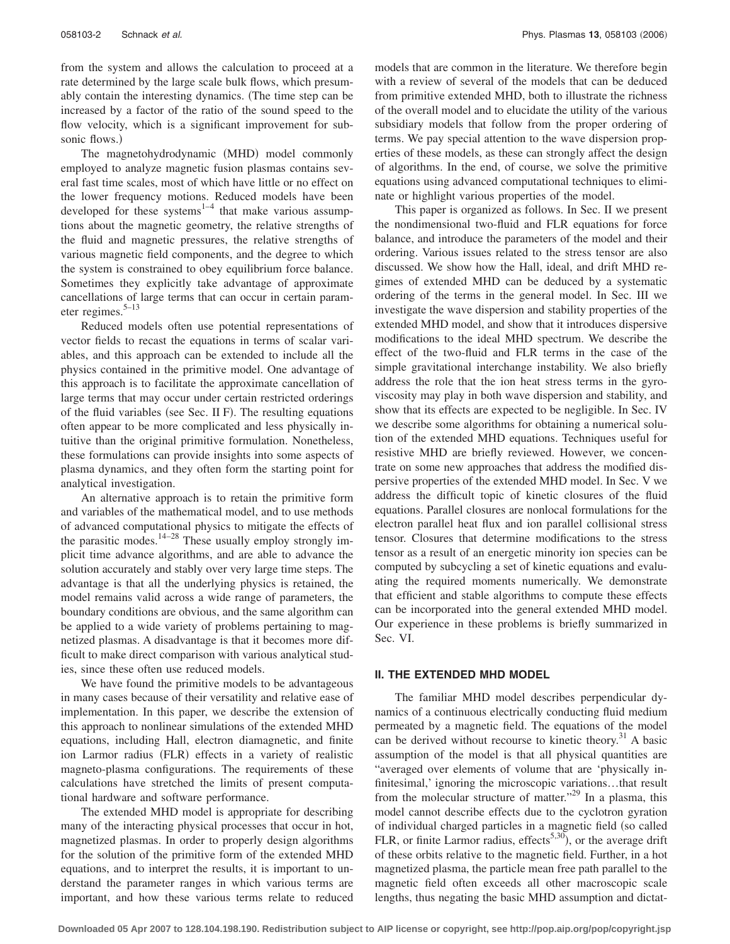from the system and allows the calculation to proceed at a rate determined by the large scale bulk flows, which presumably contain the interesting dynamics. The time step can be increased by a factor of the ratio of the sound speed to the flow velocity, which is a significant improvement for subsonic flows.)

The magnetohydrodynamic (MHD) model commonly employed to analyze magnetic fusion plasmas contains several fast time scales, most of which have little or no effect on the lower frequency motions. Reduced models have been developed for these systems $1-4$  that make various assumptions about the magnetic geometry, the relative strengths of the fluid and magnetic pressures, the relative strengths of various magnetic field components, and the degree to which the system is constrained to obey equilibrium force balance. Sometimes they explicitly take advantage of approximate cancellations of large terms that can occur in certain parameter regimes. $5-13$ 

Reduced models often use potential representations of vector fields to recast the equations in terms of scalar variables, and this approach can be extended to include all the physics contained in the primitive model. One advantage of this approach is to facilitate the approximate cancellation of large terms that may occur under certain restricted orderings of the fluid variables (see Sec. II F). The resulting equations often appear to be more complicated and less physically intuitive than the original primitive formulation. Nonetheless, these formulations can provide insights into some aspects of plasma dynamics, and they often form the starting point for analytical investigation.

An alternative approach is to retain the primitive form and variables of the mathematical model, and to use methods of advanced computational physics to mitigate the effects of the parasitic modes.<sup>14–28</sup> These usually employ strongly implicit time advance algorithms, and are able to advance the solution accurately and stably over very large time steps. The advantage is that all the underlying physics is retained, the model remains valid across a wide range of parameters, the boundary conditions are obvious, and the same algorithm can be applied to a wide variety of problems pertaining to magnetized plasmas. A disadvantage is that it becomes more difficult to make direct comparison with various analytical studies, since these often use reduced models.

We have found the primitive models to be advantageous in many cases because of their versatility and relative ease of implementation. In this paper, we describe the extension of this approach to nonlinear simulations of the extended MHD equations, including Hall, electron diamagnetic, and finite ion Larmor radius (FLR) effects in a variety of realistic magneto-plasma configurations. The requirements of these calculations have stretched the limits of present computational hardware and software performance.

The extended MHD model is appropriate for describing many of the interacting physical processes that occur in hot, magnetized plasmas. In order to properly design algorithms for the solution of the primitive form of the extended MHD equations, and to interpret the results, it is important to understand the parameter ranges in which various terms are important, and how these various terms relate to reduced models that are common in the literature. We therefore begin with a review of several of the models that can be deduced from primitive extended MHD, both to illustrate the richness of the overall model and to elucidate the utility of the various subsidiary models that follow from the proper ordering of terms. We pay special attention to the wave dispersion properties of these models, as these can strongly affect the design of algorithms. In the end, of course, we solve the primitive equations using advanced computational techniques to eliminate or highlight various properties of the model.

This paper is organized as follows. In Sec. II we present the nondimensional two-fluid and FLR equations for force balance, and introduce the parameters of the model and their ordering. Various issues related to the stress tensor are also discussed. We show how the Hall, ideal, and drift MHD regimes of extended MHD can be deduced by a systematic ordering of the terms in the general model. In Sec. III we investigate the wave dispersion and stability properties of the extended MHD model, and show that it introduces dispersive modifications to the ideal MHD spectrum. We describe the effect of the two-fluid and FLR terms in the case of the simple gravitational interchange instability. We also briefly address the role that the ion heat stress terms in the gyroviscosity may play in both wave dispersion and stability, and show that its effects are expected to be negligible. In Sec. IV we describe some algorithms for obtaining a numerical solution of the extended MHD equations. Techniques useful for resistive MHD are briefly reviewed. However, we concentrate on some new approaches that address the modified dispersive properties of the extended MHD model. In Sec. V we address the difficult topic of kinetic closures of the fluid equations. Parallel closures are nonlocal formulations for the electron parallel heat flux and ion parallel collisional stress tensor. Closures that determine modifications to the stress tensor as a result of an energetic minority ion species can be computed by subcycling a set of kinetic equations and evaluating the required moments numerically. We demonstrate that efficient and stable algorithms to compute these effects can be incorporated into the general extended MHD model. Our experience in these problems is briefly summarized in Sec. VI.

### **II. THE EXTENDED MHD MODEL**

The familiar MHD model describes perpendicular dynamics of a continuous electrically conducting fluid medium permeated by a magnetic field. The equations of the model can be derived without recourse to kinetic theory.<sup>31</sup> A basic assumption of the model is that all physical quantities are "averaged over elements of volume that are 'physically infinitesimal,' ignoring the microscopic variations...that result from the molecular structure of matter.<sup> $29$ </sup> In a plasma, this model cannot describe effects due to the cyclotron gyration of individual charged particles in a magnetic field (so called FLR, or finite Larmor radius, effects<sup>5,30</sup>), or the average drift of these orbits relative to the magnetic field. Further, in a hot magnetized plasma, the particle mean free path parallel to the magnetic field often exceeds all other macroscopic scale lengths, thus negating the basic MHD assumption and dictat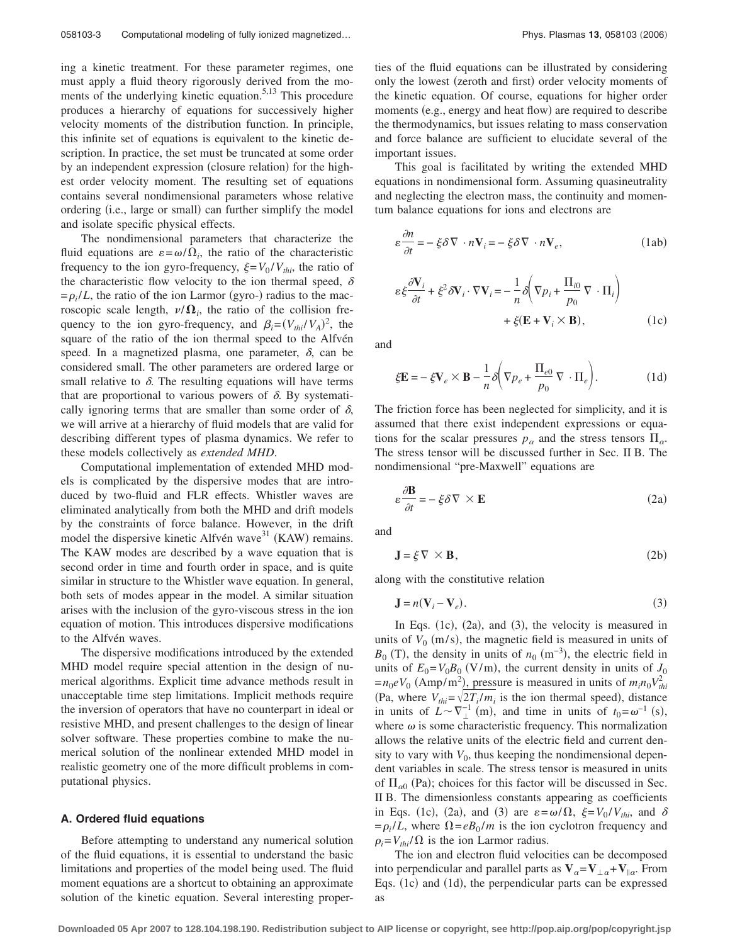ing a kinetic treatment. For these parameter regimes, one must apply a fluid theory rigorously derived from the moments of the underlying kinetic equation.<sup>5,13</sup> This procedure produces a hierarchy of equations for successively higher velocity moments of the distribution function. In principle, this infinite set of equations is equivalent to the kinetic description. In practice, the set must be truncated at some order by an independent expression (closure relation) for the highest order velocity moment. The resulting set of equations contains several nondimensional parameters whose relative ordering (i.e., large or small) can further simplify the model and isolate specific physical effects.

The nondimensional parameters that characterize the fluid equations are  $\varepsilon = \omega/\Omega_i$ , the ratio of the characteristic frequency to the ion gyro-frequency,  $\xi = V_0 / V_{thi}$ , the ratio of the characteristic flow velocity to the ion thermal speed,  $\delta$  $= \rho_i / L$ , the ratio of the ion Larmor (gyro-) radius to the macroscopic scale length,  $\nu/\Omega_i$ , the ratio of the collision frequency to the ion gyro-frequency, and  $\beta_i = (V_{thi}/V_A)^2$ , the square of the ratio of the ion thermal speed to the Alfvén speed. In a magnetized plasma, one parameter,  $\delta$ , can be considered small. The other parameters are ordered large or small relative to  $\delta$ . The resulting equations will have terms that are proportional to various powers of  $\delta$ . By systematically ignoring terms that are smaller than some order of  $\delta$ , we will arrive at a hierarchy of fluid models that are valid for describing different types of plasma dynamics. We refer to these models collectively as *extended MHD*.

Computational implementation of extended MHD models is complicated by the dispersive modes that are introduced by two-fluid and FLR effects. Whistler waves are eliminated analytically from both the MHD and drift models by the constraints of force balance. However, in the drift model the dispersive kinetic Alfvén wave<sup>31</sup> (KAW) remains. The KAW modes are described by a wave equation that is second order in time and fourth order in space, and is quite similar in structure to the Whistler wave equation. In general, both sets of modes appear in the model. A similar situation arises with the inclusion of the gyro-viscous stress in the ion equation of motion. This introduces dispersive modifications to the Alfvén waves.

The dispersive modifications introduced by the extended MHD model require special attention in the design of numerical algorithms. Explicit time advance methods result in unacceptable time step limitations. Implicit methods require the inversion of operators that have no counterpart in ideal or resistive MHD, and present challenges to the design of linear solver software. These properties combine to make the numerical solution of the nonlinear extended MHD model in realistic geometry one of the more difficult problems in computational physics.

# **A. Ordered fluid equations**

Before attempting to understand any numerical solution of the fluid equations, it is essential to understand the basic limitations and properties of the model being used. The fluid moment equations are a shortcut to obtaining an approximate solution of the kinetic equation. Several interesting properties of the fluid equations can be illustrated by considering only the lowest (zeroth and first) order velocity moments of the kinetic equation. Of course, equations for higher order moments (e.g., energy and heat flow) are required to describe the thermodynamics, but issues relating to mass conservation and force balance are sufficient to elucidate several of the important issues.

This goal is facilitated by writing the extended MHD equations in nondimensional form. Assuming quasineutrality and neglecting the electron mass, the continuity and momentum balance equations for ions and electrons are

$$
\varepsilon \frac{\partial n}{\partial t} = -\xi \delta \nabla \cdot n \mathbf{V}_i = -\xi \delta \nabla \cdot n \mathbf{V}_e, \qquad (1 \text{ ab})
$$
  

$$
\varepsilon \xi \frac{\partial \mathbf{V}_i}{\partial t} + \xi^2 \delta \mathbf{V}_i \cdot \nabla \mathbf{V}_i = -\frac{1}{n} \delta \left( \nabla p_i + \frac{\Pi_{i0}}{p_0} \nabla \cdot \Pi_i \right) + \xi (\mathbf{E} + \mathbf{V}_i \times \mathbf{B}), \qquad (1 \text{ c})
$$

and

$$
\xi \mathbf{E} = -\xi \mathbf{V}_e \times \mathbf{B} - \frac{1}{n} \delta \bigg( \nabla p_e + \frac{\Pi_{e0}}{p_0} \nabla \cdot \Pi_e \bigg). \tag{1d}
$$

The friction force has been neglected for simplicity, and it is assumed that there exist independent expressions or equations for the scalar pressures  $p_{\alpha}$  and the stress tensors  $\Pi_{\alpha}$ . The stress tensor will be discussed further in Sec. II B. The nondimensional "pre-Maxwell" equations are

$$
\varepsilon \frac{\partial \mathbf{B}}{\partial t} = -\xi \delta \nabla \times \mathbf{E}
$$
 (2a)

and

$$
\mathbf{J} = \xi \nabla \times \mathbf{B},\tag{2b}
$$

along with the constitutive relation

$$
\mathbf{J} = n(\mathbf{V}_i - \mathbf{V}_e). \tag{3}
$$

In Eqs.  $(1c)$ ,  $(2a)$ , and  $(3)$ , the velocity is measured in units of  $V_0$  (m/s), the magnetic field is measured in units of  $B_0$  (T), the density in units of  $n_0$  (m<sup>-3</sup>), the electric field in units of  $E_0 = V_0 B_0$  (V/m), the current density in units of  $J_0$  $=n_0eV_0$  (Amp/m<sup>2</sup>), pressure is measured in units of  $m_i n_0 V_{thi}^2$ (Pa, where  $V_{thi} = \sqrt{2T_i/m_i}$  is the ion thermal speed), distance in units of  $L \sim \nabla^{-1}(\mathbf{m})$ , and time in units of  $t_0 = \omega^{-1}(\mathbf{s})$ , where  $\omega$  is some characteristic frequency. This normalization allows the relative units of the electric field and current density to vary with  $V_0$ , thus keeping the nondimensional dependent variables in scale. The stress tensor is measured in units of  $\Pi_{\alpha 0}$  (Pa); choices for this factor will be discussed in Sec. II B. The dimensionless constants appearing as coefficients in Eqs. (1c), (2a), and (3) are  $\varepsilon = \omega/\Omega$ ,  $\xi = V_0/V_{thi}$ , and  $\delta$  $=$  $\rho_i / L$ , where  $\Omega = eB_0 / m$  is the ion cyclotron frequency and  $\rho_i = V_{thi}/\Omega$  is the ion Larmor radius.

The ion and electron fluid velocities can be decomposed into perpendicular and parallel parts as  $V_\alpha = V_{\alpha} + V_{\alpha}$ . From Eqs. (1c) and (1d), the perpendicular parts can be expressed as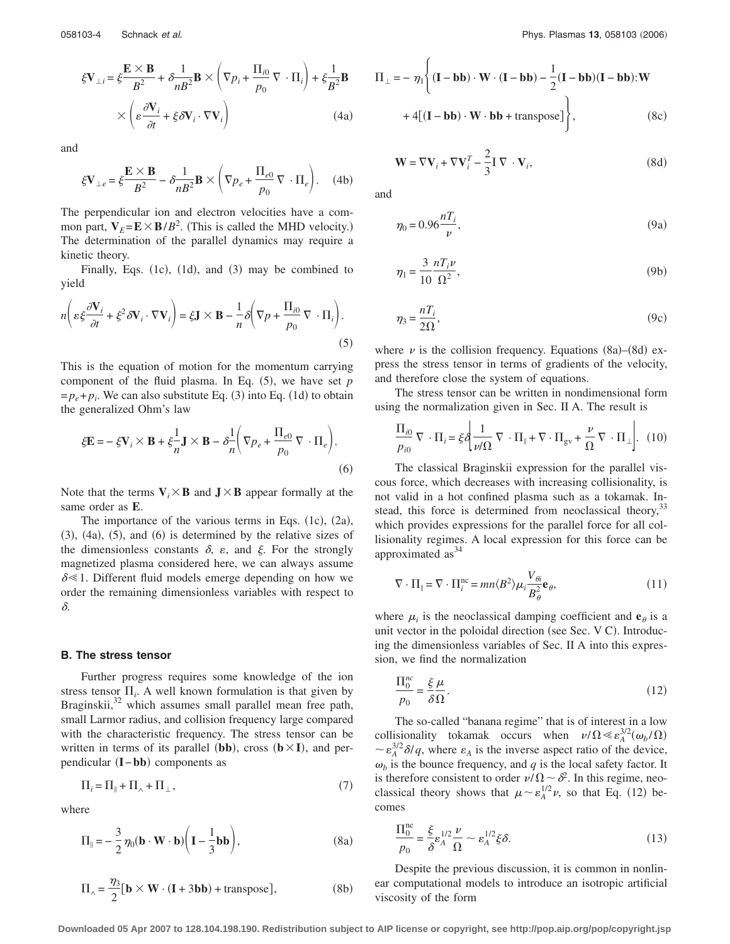$$
\xi \mathbf{V}_{\perp i} = \xi \frac{\mathbf{E} \times \mathbf{B}}{B^2} + \delta \frac{1}{nB^2} \mathbf{B} \times \left( \nabla p_i + \frac{\Pi_{i0}}{p_0} \nabla \cdot \Pi_i \right) + \xi \frac{1}{B^2} \mathbf{B}
$$

$$
\times \left( \varepsilon \frac{\partial \mathbf{V}_i}{\partial t} + \xi \delta \mathbf{V}_i \cdot \nabla \mathbf{V}_i \right) \tag{4a}
$$

and

$$
\xi \mathbf{V}_{\perp e} = \xi \frac{\mathbf{E} \times \mathbf{B}}{B^2} - \delta \frac{1}{nB^2} \mathbf{B} \times \left( \nabla p_e + \frac{\Pi_{e0}}{p_0} \nabla \cdot \Pi_e \right). \tag{4b}
$$

The perpendicular ion and electron velocities have a common part,  $V_E = E \times B/B^2$ . (This is called the MHD velocity.) The determination of the parallel dynamics may require a kinetic theory.

Finally, Eqs.  $(1c)$ ,  $(1d)$ , and  $(3)$  may be combined to yield

$$
n\left(\varepsilon \xi \frac{\partial \mathbf{V}_i}{\partial t} + \xi^2 \delta \mathbf{V}_i \cdot \nabla \mathbf{V}_i\right) = \xi \mathbf{J} \times \mathbf{B} - \frac{1}{n} \delta \left(\nabla p + \frac{\Pi_{i0}}{p_0} \nabla \cdot \Pi_i\right).
$$
\n(5)

This is the equation of motion for the momentum carrying component of the fluid plasma. In Eq.  $(5)$ , we have set  $p$  $=p_e+p_i$ . We can also substitute Eq. (3) into Eq. (1d) to obtain the generalized Ohm's law

$$
\xi \mathbf{E} = -\xi \mathbf{V}_i \times \mathbf{B} + \xi \frac{1}{n} \mathbf{J} \times \mathbf{B} - \delta \frac{1}{n} \left( \nabla p_e + \frac{\Pi_{e0}}{p_0} \nabla \cdot \Pi_e \right).
$$
\n(6)

Note that the terms  $V_i \times B$  and  $J \times B$  appear formally at the same order as **E**.

The importance of the various terms in Eqs.  $(1c)$ ,  $(2a)$ ,  $(3)$ ,  $(4a)$ ,  $(5)$ , and  $(6)$  is determined by the relative sizes of the dimensionless constants  $\delta$ ,  $\varepsilon$ , and  $\xi$ . For the strongly magnetized plasma considered here, we can always assume  $\delta \leq 1$ . Different fluid models emerge depending on how we order the remaining dimensionless variables with respect to  $\delta$ .

### **B. The stress tensor**

Further progress requires some knowledge of the ion stress tensor  $\Pi_i$ . A well known formulation is that given by Braginskii, $32$  which assumes small parallel mean free path, small Larmor radius, and collision frequency large compared with the characteristic frequency. The stress tensor can be written in terms of its parallel (bb), cross  $(b \times I)$ , and perpendicular (I-bb) components as

$$
\Pi_i = \Pi_{\parallel} + \Pi_{\wedge} + \Pi_{\perp},\tag{7}
$$

where

$$
\Pi_{\parallel} = -\frac{3}{2} \eta_0 (\mathbf{b} \cdot \mathbf{W} \cdot \mathbf{b}) \bigg( \mathbf{I} - \frac{1}{3} \mathbf{b} \mathbf{b} \bigg), \tag{8a}
$$

$$
\Pi_{\wedge} = \frac{\eta_3}{2} [\mathbf{b} \times \mathbf{W} \cdot (\mathbf{I} + 3\mathbf{b}\mathbf{b}) + \text{transpose}], \tag{8b}
$$

$$
\Pi_{\perp} = -\eta_1 \left\{ (\mathbf{I} - \mathbf{b}\mathbf{b}) \cdot \mathbf{W} \cdot (\mathbf{I} - \mathbf{b}\mathbf{b}) - \frac{1}{2} (\mathbf{I} - \mathbf{b}\mathbf{b}) (\mathbf{I} - \mathbf{b}\mathbf{b}) : \mathbf{W} \right\}
$$
  
+ 4[(\mathbf{I} - \mathbf{b}\mathbf{b}) \cdot \mathbf{W} \cdot \mathbf{b}\mathbf{b} + \text{transpose}] , (8c)

$$
\mathbf{W} = \nabla \mathbf{V}_i + \nabla \mathbf{V}_i^T - \frac{2}{3} \mathbf{I} \nabla \cdot \mathbf{V}_i,
$$
 (8d)

and

$$
\eta_0 = 0.96 \frac{nT_i}{\nu},\tag{9a}
$$

$$
\eta_1 = \frac{3}{10} \frac{nT_i \nu}{\Omega^2},\tag{9b}
$$

$$
\eta_3 = \frac{nT_i}{2\Omega},\tag{9c}
$$

where  $\nu$  is the collision frequency. Equations (8a)–(8d) express the stress tensor in terms of gradients of the velocity, and therefore close the system of equations.

The stress tensor can be written in nondimensional form using the normalization given in Sec. II A. The result is

$$
\frac{\Pi_{i0}}{p_{i0}} \nabla \cdot \Pi_i = \xi \delta \left[ \frac{1}{\nu/\Omega} \nabla \cdot \Pi_{\parallel} + \nabla \cdot \Pi_{\text{gv}} + \frac{\nu}{\Omega} \nabla \cdot \Pi_{\perp} \right]. \tag{10}
$$

The classical Braginskii expression for the parallel viscous force, which decreases with increasing collisionality, is not valid in a hot confined plasma such as a tokamak. Instead, this force is determined from neoclassical theory,  $33$ which provides expressions for the parallel force for all collisionality regimes. A local expression for this force can be approximated as  $34$ 

$$
\nabla \cdot \Pi_{\parallel} = \nabla \cdot \Pi_i^{\text{nc}} = mn \langle B^2 \rangle \mu_i \frac{V_{\theta i}}{B_\theta^2} \mathbf{e}_\theta,
$$
 (11)

where  $\mu_i$  is the neoclassical damping coefficient and  $\mathbf{e}_{\theta}$  is a unit vector in the poloidal direction (see Sec. V C). Introducing the dimensionless variables of Sec. II A into this expression, we find the normalization

$$
\frac{\Pi_0^{nc}}{p_0} = \frac{\xi \mu}{\delta \Omega}.
$$
\n(12)

The so-called "banana regime" that is of interest in a low collisionality tokamak occurs when  $\nu/\Omega \ll \varepsilon_A^{3/2}(\omega_b/\Omega)$  $\sim \varepsilon_A^{3/2} \delta/q$ , where  $\varepsilon_A$  is the inverse aspect ratio of the device,  $\omega_b$  is the bounce frequency, and  $q$  is the local safety factor. It is therefore consistent to order  $\nu/\Omega \sim \delta^2$ . In this regime, neoclassical theory shows that  $\mu \sim \varepsilon_A^{1/2} \nu$ , so that Eq. (12) becomes

$$
\frac{\Pi_0^{\text{nc}}}{p_0} = \frac{\xi}{\delta} \varepsilon_A^{1/2} \frac{\nu}{\Omega} \sim \varepsilon_A^{1/2} \xi \delta. \tag{13}
$$

Despite the previous discussion, it is common in nonlinear computational models to introduce an isotropic artificial viscosity of the form

**Downloaded 05 Apr 2007 to 128.104.198.190. Redistribution subject to AIP license or copyright, see http://pop.aip.org/pop/copyright.jsp**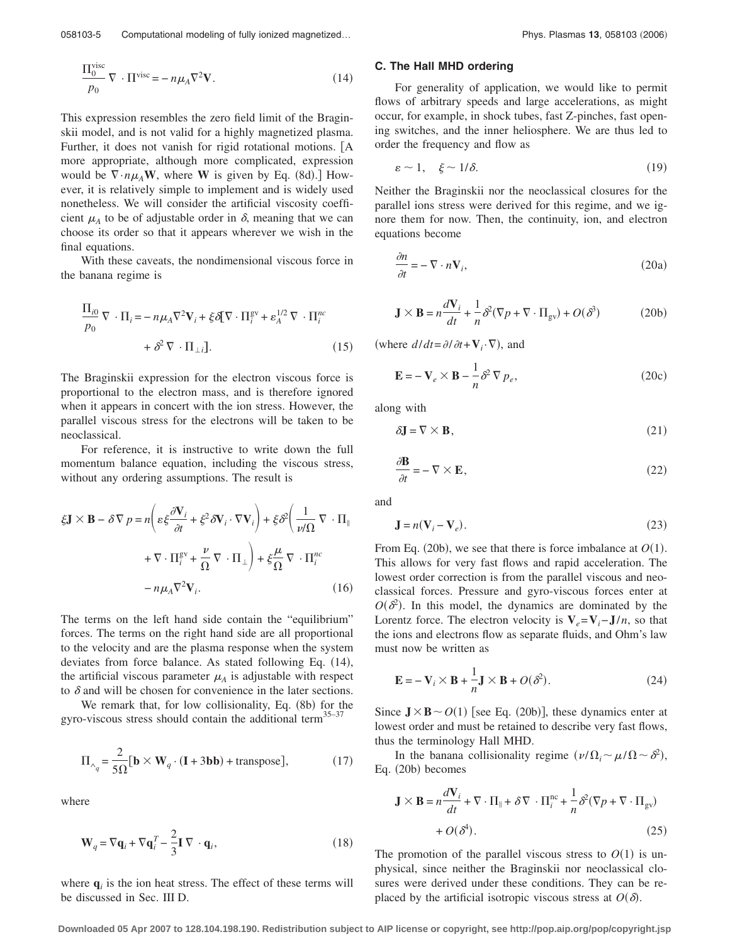058103-5 Computational modeling of fully ionized magnetized...

$$
\frac{\Pi_0^{\text{visc}}}{p_0} \nabla \cdot \Pi^{\text{visc}} = -n\mu_A \nabla^2 \mathbf{V}.
$$
\n(14)

This expression resembles the zero field limit of the Braginskii model, and is not valid for a highly magnetized plasma. Further, it does not vanish for rigid rotational motions. [A more appropriate, although more complicated, expression would be  $\nabla \cdot n\mu_A \mathbf{W}$ , where **W** is given by Eq. (8d).] However, it is relatively simple to implement and is widely used nonetheless. We will consider the artificial viscosity coefficient  $\mu_A$  to be of adjustable order in  $\delta$ , meaning that we can choose its order so that it appears wherever we wish in the final equations.

With these caveats, the nondimensional viscous force in the banana regime is

$$
\frac{\Pi_{i0}}{p_0} \nabla \cdot \Pi_i = -n\mu_A \nabla^2 \mathbf{V}_i + \xi \delta[\nabla \cdot \Pi_i^{\text{gv}} + \varepsilon_A^{1/2} \nabla \cdot \Pi_i^{nc} + \delta^2 \nabla \cdot \Pi_{\perp i}].
$$
\n(15)

The Braginskii expression for the electron viscous force is proportional to the electron mass, and is therefore ignored when it appears in concert with the ion stress. However, the parallel viscous stress for the electrons will be taken to be neoclassical.

For reference, it is instructive to write down the full momentum balance equation, including the viscous stress, without any ordering assumptions. The result is

$$
\xi \mathbf{J} \times \mathbf{B} - \delta \nabla p = n \bigg( \varepsilon \xi \frac{\partial \mathbf{V}_i}{\partial t} + \xi^2 \delta \mathbf{V}_i \cdot \nabla \mathbf{V}_i \bigg) + \xi \delta^2 \bigg( \frac{1}{\nu/\Omega} \nabla \cdot \Pi_{\parallel} + \nabla \cdot \Pi_i^{\text{gv}} + \frac{\nu}{\Omega} \nabla \cdot \Pi_{\perp} \bigg) + \xi \frac{\mu}{\Omega} \nabla \cdot \Pi_i^{nc}
$$

$$
-n \mu_A \nabla^2 \mathbf{V}_i. \tag{16}
$$

The terms on the left hand side contain the "equilibrium" forces. The terms on the right hand side are all proportional to the velocity and are the plasma response when the system deviates from force balance. As stated following Eq. (14), the artificial viscous parameter  $\mu_A$  is adjustable with respect to  $\delta$  and will be chosen for convenience in the later sections.

We remark that, for low collisionality, Eq. (8b) for the gyro-viscous stress should contain the additional term<sup>35–37</sup>

$$
\Pi_{\wedge_q} = \frac{2}{5\Omega} [\mathbf{b} \times \mathbf{W}_q \cdot (\mathbf{I} + 3\mathbf{b}\mathbf{b}) + \text{transpose}], \tag{17}
$$

where

$$
\mathbf{W}_q = \nabla \mathbf{q}_i + \nabla \mathbf{q}_i^T - \frac{2}{3} \mathbf{I} \nabla \cdot \mathbf{q}_i,
$$
 (18)

where  $q_i$  is the ion heat stress. The effect of these terms will be discussed in Sec. III D.

# **C. The Hall MHD ordering**

For generality of application, we would like to permit flows of arbitrary speeds and large accelerations, as might occur, for example, in shock tubes, fast Z-pinches, fast opening switches, and the inner heliosphere. We are thus led to order the frequency and flow as

$$
\varepsilon \sim 1, \quad \xi \sim 1/\delta. \tag{19}
$$

Neither the Braginskii nor the neoclassical closures for the parallel ions stress were derived for this regime, and we ignore them for now. Then, the continuity, ion, and electron equations become

$$
\frac{\partial n}{\partial t} = -\nabla \cdot n \mathbf{V}_i,\tag{20a}
$$

$$
\mathbf{J} \times \mathbf{B} = n \frac{d\mathbf{V}_i}{dt} + \frac{1}{n} \delta^2 (\nabla p + \nabla \cdot \Pi_{\text{gv}}) + O(\delta^3)
$$
 (20b)

(where  $d/dt = \partial/\partial t + \mathbf{V}_i \cdot \nabla$ ), and

$$
\mathbf{E} = -\mathbf{V}_e \times \mathbf{B} - \frac{1}{n} \delta^2 \nabla p_e,
$$
 (20c)

along with

$$
\delta \mathbf{J} = \nabla \times \mathbf{B},\tag{21}
$$

$$
\frac{\partial \mathbf{B}}{\partial t} = -\nabla \times \mathbf{E},\tag{22}
$$

and

$$
\mathbf{J} = n(\mathbf{V}_i - \mathbf{V}_e). \tag{23}
$$

From Eq. (20b), we see that there is force imbalance at  $O(1)$ . This allows for very fast flows and rapid acceleration. The lowest order correction is from the parallel viscous and neoclassical forces. Pressure and gyro-viscous forces enter at  $O(\delta^2)$ . In this model, the dynamics are dominated by the Lorentz force. The electron velocity is  $V_e = V_i - J/n$ , so that the ions and electrons flow as separate fluids, and Ohm's law must now be written as

$$
\mathbf{E} = -\mathbf{V}_i \times \mathbf{B} + \frac{1}{n} \mathbf{J} \times \mathbf{B} + O(\delta^2). \tag{24}
$$

Since  $J \times B \sim O(1)$  [see Eq. (20b)], these dynamics enter at lowest order and must be retained to describe very fast flows, thus the terminology Hall MHD.

In the banana collisionality regime  $(\nu/\Omega_i \sim \mu/\Omega \sim \delta^2)$ , Eq. (20b) becomes

$$
\mathbf{J} \times \mathbf{B} = n \frac{d\mathbf{V}_i}{dt} + \nabla \cdot \Pi_{\parallel} + \delta \nabla \cdot \Pi_i^{\text{nc}} + \frac{1}{n} \delta^2 (\nabla p + \nabla \cdot \Pi_{\text{gv}}) + O(\delta^4). \tag{25}
$$

The promotion of the parallel viscous stress to  $O(1)$  is unphysical, since neither the Braginskii nor neoclassical closures were derived under these conditions. They can be replaced by the artificial isotropic viscous stress at  $O(\delta)$ .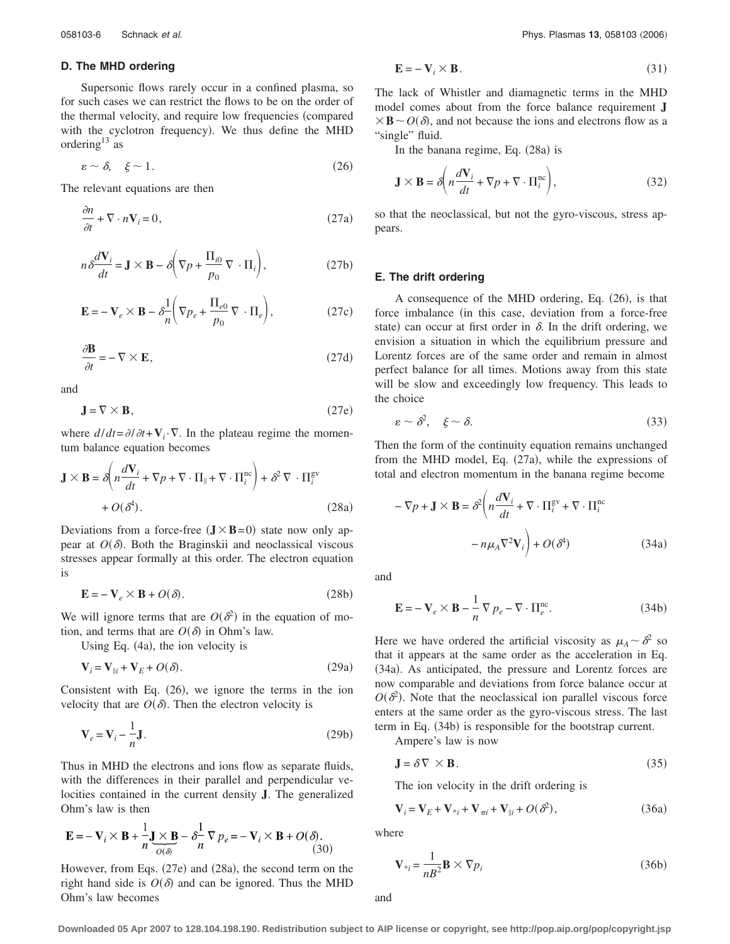# **D. The MHD ordering**

Supersonic flows rarely occur in a confined plasma, so for such cases we can restrict the flows to be on the order of the thermal velocity, and require low frequencies compared with the cyclotron frequency). We thus define the MHD ordering<sup>13</sup> as

$$
\varepsilon \sim \delta, \quad \xi \sim 1. \tag{26}
$$

The relevant equations are then

$$
\frac{\partial n}{\partial t} + \nabla \cdot n \mathbf{V}_i = 0, \qquad (27a)
$$

$$
n\delta \frac{d\mathbf{V}_i}{dt} = \mathbf{J} \times \mathbf{B} - \delta \left( \nabla p + \frac{\Pi_{i0}}{p_0} \nabla \cdot \Pi_i \right),\tag{27b}
$$

$$
\mathbf{E} = -\mathbf{V}_e \times \mathbf{B} - \delta \frac{1}{n} \left( \nabla p_e + \frac{\Pi_{e0}}{p_0} \nabla \cdot \Pi_e \right),\tag{27c}
$$

$$
\frac{\partial \mathbf{B}}{\partial t} = -\nabla \times \mathbf{E},\tag{27d}
$$

and

$$
\mathbf{J} = \nabla \times \mathbf{B},\tag{27e}
$$

where  $d/dt = \partial/\partial t + V_i \cdot \nabla$ . In the plateau regime the momentum balance equation becomes

$$
\mathbf{J} \times \mathbf{B} = \delta \left( n \frac{d\mathbf{V}_i}{dt} + \nabla p + \nabla \cdot \Pi_{\parallel} + \nabla \cdot \Pi_i^{\text{nc}} \right) + \delta^2 \nabla \cdot \Pi_i^{\text{gv}} + O(\delta^4). \tag{28a}
$$

Deviations from a force-free  $(\mathbf{J} \times \mathbf{B} = 0)$  state now only appear at  $O(\delta)$ . Both the Braginskii and neoclassical viscous stresses appear formally at this order. The electron equation is

$$
\mathbf{E} = -\mathbf{V}_e \times \mathbf{B} + O(\delta). \tag{28b}
$$

We will ignore terms that are  $O(\delta^2)$  in the equation of motion, and terms that are  $O(\delta)$  in Ohm's law.

Using Eq.  $(4a)$ , the ion velocity is

$$
\mathbf{V}_i = \mathbf{V}_{\parallel i} + \mathbf{V}_E + O(\delta). \tag{29a}
$$

Consistent with Eq.  $(26)$ , we ignore the terms in the ion velocity that are  $O(\delta)$ . Then the electron velocity is

$$
\mathbf{V}_e = \mathbf{V}_i - \frac{1}{n}\mathbf{J}.
$$
 (29b)

Thus in MHD the electrons and ions flow as separate fluids, with the differences in their parallel and perpendicular velocities contained in the current density **J**. The generalized Ohm's law is then

$$
\mathbf{E} = -\mathbf{V}_i \times \mathbf{B} + \frac{1}{n} \mathbf{J} \times \mathbf{B} - \delta \frac{1}{n} \nabla p_e = -\mathbf{V}_i \times \mathbf{B} + O(\delta). \tag{30}
$$

However, from Eqs. (27e) and (28a), the second term on the right hand side is  $O(\delta)$  and can be ignored. Thus the MHD Ohm's law becomes

$$
\mathbf{E} = -\mathbf{V}_i \times \mathbf{B}.\tag{31}
$$

The lack of Whistler and diamagnetic terms in the MHD model comes about from the force balance requirement **J**  $\times$  **B**  $\sim$  *O*( $\delta$ ), and not because the ions and electrons flow as a "single" fluid.

In the banana regime, Eq. (28a) is

$$
\mathbf{J} \times \mathbf{B} = \delta \left( n \frac{d\mathbf{V}_i}{dt} + \nabla p + \nabla \cdot \Pi_i^{\text{nc}} \right),\tag{32}
$$

so that the neoclassical, but not the gyro-viscous, stress appears.

#### **E. The drift ordering**

A consequence of the MHD ordering, Eq. (26), is that force imbalance (in this case, deviation from a force-free state) can occur at first order in  $\delta$ . In the drift ordering, we envision a situation in which the equilibrium pressure and Lorentz forces are of the same order and remain in almost perfect balance for all times. Motions away from this state will be slow and exceedingly low frequency. This leads to the choice

$$
\varepsilon \sim \delta^2, \quad \xi \sim \delta. \tag{33}
$$

Then the form of the continuity equation remains unchanged from the MHD model, Eq. (27a), while the expressions of total and electron momentum in the banana regime become

$$
-\nabla p + \mathbf{J} \times \mathbf{B} = \delta^2 \left( n \frac{d\mathbf{V}_i}{dt} + \nabla \cdot \Pi_i^{\text{gv}} + \nabla \cdot \Pi_i^{\text{nc}} -n \mu_A \nabla^2 \mathbf{V}_i \right) + O(\delta^4)
$$
(34a)

and

$$
\mathbf{E} = -\mathbf{V}_e \times \mathbf{B} - \frac{1}{n} \nabla p_e - \nabla \cdot \Pi_e^{\text{nc}}.
$$
 (34b)

Here we have ordered the artificial viscosity as  $\mu_A \sim \delta^2$  so that it appears at the same order as the acceleration in Eq. (34a). As anticipated, the pressure and Lorentz forces are now comparable and deviations from force balance occur at  $O(\delta^2)$ . Note that the neoclassical ion parallel viscous force enters at the same order as the gyro-viscous stress. The last term in Eq. (34b) is responsible for the bootstrap current.

Ampere's law is now

$$
\mathbf{J} = \delta \nabla \times \mathbf{B}.\tag{35}
$$

The ion velocity in the drift ordering is

$$
\mathbf{V}_i = \mathbf{V}_E + \mathbf{V}_{*i} + \mathbf{V}_{\pi i} + \mathbf{V}_{\parallel i} + O(\delta^2),\tag{36a}
$$

where

$$
\mathbf{V}_{*i} = \frac{1}{n^2} \mathbf{B} \times \nabla p_i
$$
 (36b)

and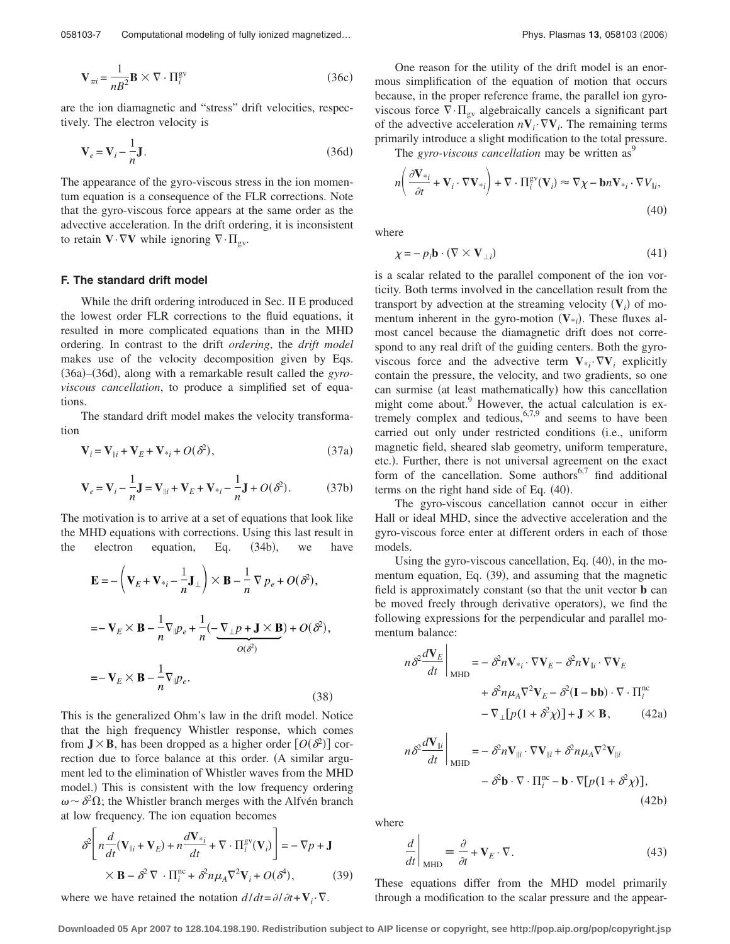$$
\mathbf{V}_{\pi i} = \frac{1}{nB^2} \mathbf{B} \times \nabla \cdot \Pi_i^{\text{gv}} \tag{36c}
$$

are the ion diamagnetic and "stress" drift velocities, respectively. The electron velocity is

$$
\mathbf{V}_e = \mathbf{V}_i - \frac{1}{n} \mathbf{J}.
$$
 (36d)

The appearance of the gyro-viscous stress in the ion momentum equation is a consequence of the FLR corrections. Note that the gyro-viscous force appears at the same order as the advective acceleration. In the drift ordering, it is inconsistent to retain  $\mathbf{V} \cdot \nabla \mathbf{V}$  while ignoring  $\nabla \cdot \Pi_{\text{gv}}$ .

# **F. The standard drift model**

While the drift ordering introduced in Sec. II E produced the lowest order FLR corrections to the fluid equations, it resulted in more complicated equations than in the MHD ordering. In contrast to the drift *ordering*, the *drift model* makes use of the velocity decomposition given by Eqs. (36a)–(36d), along with a remarkable result called the *gyroviscous cancellation*, to produce a simplified set of equations.

The standard drift model makes the velocity transformation

$$
\mathbf{V}_{i} = \mathbf{V}_{\parallel i} + \mathbf{V}_{E} + \mathbf{V}_{*i} + O(\delta^{2}),\tag{37a}
$$

$$
\mathbf{V}_e = \mathbf{V}_i - \frac{1}{n} \mathbf{J} = \mathbf{V}_{\parallel i} + \mathbf{V}_E + \mathbf{V}_{\ast i} - \frac{1}{n} \mathbf{J} + O(\delta^2). \tag{37b}
$$

The motivation is to arrive at a set of equations that look like the MHD equations with corrections. Using this last result in the electron equation, Eq.  $(34b)$ , , we have

$$
\mathbf{E} = -\left(\mathbf{V}_E + \mathbf{V}_{*i} - \frac{1}{n}\mathbf{J}_\perp\right) \times \mathbf{B} - \frac{1}{n}\nabla p_e + O(\delta^2),
$$
  
\n
$$
= -\mathbf{V}_E \times \mathbf{B} - \frac{1}{n}\nabla_{\parallel}p_e + \frac{1}{n}(-\frac{\nabla_{\perp}p + \mathbf{J} \times \mathbf{B}) + O(\delta^2),
$$
  
\n
$$
= -\mathbf{V}_E \times \mathbf{B} - \frac{1}{n}\nabla_{\parallel}p_e.
$$
 (38)

This is the generalized Ohm's law in the drift model. Notice that the high frequency Whistler response, which comes from  $J \times B$ , has been dropped as a higher order  $[O(\delta^2)]$  correction due to force balance at this order. (A similar argument led to the elimination of Whistler waves from the MHD model.) This is consistent with the low frequency ordering  $\omega \sim \delta^2 \Omega$ ; the Whistler branch merges with the Alfvén branch at low frequency. The ion equation becomes

$$
\delta^2 \left[ n \frac{d}{dt} (\mathbf{V}_{\parallel i} + \mathbf{V}_E) + n \frac{d \mathbf{V}_{\ast i}}{dt} + \nabla \cdot \Pi_i^{\text{gv}} (\mathbf{V}_i) \right] = -\nabla p + \mathbf{J} \times \mathbf{B} - \delta^2 \nabla \cdot \Pi_i^{\text{nc}} + \delta^2 n \mu_A \nabla^2 \mathbf{V}_i + O(\delta^4), \tag{39}
$$

where we have retained the notation  $d/dt = \partial/\partial t + \mathbf{V}_i \cdot \nabla$ .

Phys. Plasmas 13, 058103 (2006)

One reason for the utility of the drift model is an enormous simplification of the equation of motion that occurs because, in the proper reference frame, the parallel ion gyroviscous force  $\nabla \cdot \Pi_{\text{gv}}$  algebraically cancels a significant part of the advective acceleration  $nV_i \cdot \nabla V_i$ . The remaining terms primarily introduce a slight modification to the total pressure.

The *gyro-viscous cancellation* may be written as<sup>9</sup>

$$
n\left(\frac{\partial \mathbf{V}_{*i}}{\partial t} + \mathbf{V}_i \cdot \nabla \mathbf{V}_{*i}\right) + \nabla \cdot \Pi_i^{\text{gv}}(\mathbf{V}_i) \approx \nabla \chi - \mathbf{b} n \mathbf{V}_{*i} \cdot \nabla V_{\parallel i},\tag{40}
$$

where

$$
\chi = -p_i \mathbf{b} \cdot (\nabla \times \mathbf{V}_{\perp i}) \tag{41}
$$

is a scalar related to the parallel component of the ion vorticity. Both terms involved in the cancellation result from the transport by advection at the streaming velocity  $(V_i)$  of momentum inherent in the gyro-motion  $(\mathbf{V}_{*i})$ . These fluxes almost cancel because the diamagnetic drift does not correspond to any real drift of the guiding centers. Both the gyroviscous force and the advective term  $V_{\dot{\gamma}} \cdot \nabla V_i$  explicitly contain the pressure, the velocity, and two gradients, so one can surmise (at least mathematically) how this cancellation might come about.<sup>9</sup> However, the actual calculation is extremely complex and tedious,  $6.7,9$  and seems to have been carried out only under restricted conditions (i.e., uniform magnetic field, sheared slab geometry, uniform temperature, etc.). Further, there is not universal agreement on the exact form of the cancellation. Some authors $6,7$  find additional terms on the right hand side of Eq. (40).

The gyro-viscous cancellation cannot occur in either Hall or ideal MHD, since the advective acceleration and the gyro-viscous force enter at different orders in each of those models.

Using the gyro-viscous cancellation, Eq. (40), in the momentum equation, Eq. (39), and assuming that the magnetic field is approximately constant (so that the unit vector **b** can be moved freely through derivative operators), we find the following expressions for the perpendicular and parallel momentum balance:

$$
n\delta^2 \frac{d\mathbf{V}_E}{dt} \Big|_{\text{MHD}} = -\delta^2 n \mathbf{V}_{*i} \cdot \nabla \mathbf{V}_E - \delta^2 n \mathbf{V}_{\parallel i} \cdot \nabla \mathbf{V}_E
$$

$$
+ \delta^2 n \mu_A \nabla^2 \mathbf{V}_E - \delta^2 (\mathbf{I} - \mathbf{b} \mathbf{b}) \cdot \nabla \cdot \Pi_i^{\text{nc}}
$$

$$
- \nabla_\perp [p(1 + \delta^2 \chi)] + \mathbf{J} \times \mathbf{B}, \qquad (42a)
$$

$$
n\delta^2 \frac{d\mathbf{V}_{\parallel i}}{dt}\Big|_{\text{MHD}} = -\delta^2 n\mathbf{V}_{\parallel i} \cdot \nabla \mathbf{V}_{\parallel i} + \delta^2 n\mu_A \nabla^2 \mathbf{V}_{\parallel i} - \delta^2 \mathbf{b} \cdot \nabla \cdot \Pi_i^{\text{nc}} - \mathbf{b} \cdot \nabla [p(1 + \delta^2 \chi)],
$$
\n(42b)

where

$$
\left. \frac{d}{dt} \right|_{\text{MHD}} \equiv \frac{\partial}{\partial t} + \mathbf{V}_E \cdot \nabla. \tag{43}
$$

These equations differ from the MHD model primarily through a modification to the scalar pressure and the appear-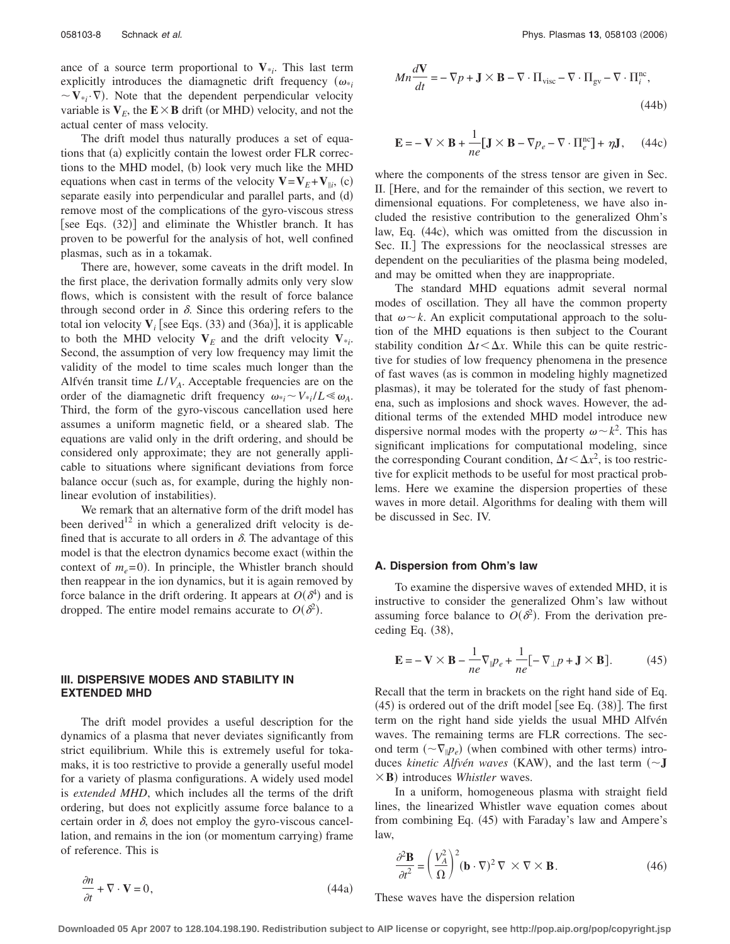ance of a source term proportional to **V**\**<sup>i</sup>* . This last term explicitly introduces the diamagnetic drift frequency  $(\omega_{*_i})$  $\sim$  **V**<sub>\**i*</sub> ·  $\nabla$ ). Note that the dependent perpendicular velocity variable is  $V_E$ , the  $E \times B$  drift (or MHD) velocity, and not the actual center of mass velocity.

The drift model thus naturally produces a set of equations that (a) explicitly contain the lowest order FLR corrections to the MHD model, (b) look very much like the MHD equations when cast in terms of the velocity  $V = V_E + V_{\parallel i}$ , (c) separate easily into perpendicular and parallel parts, and (d) remove most of the complications of the gyro-viscous stress [see Eqs. (32)] and eliminate the Whistler branch. It has proven to be powerful for the analysis of hot, well confined plasmas, such as in a tokamak.

There are, however, some caveats in the drift model. In the first place, the derivation formally admits only very slow flows, which is consistent with the result of force balance through second order in  $\delta$ . Since this ordering refers to the total ion velocity  $V_i$  [see Eqs.  $(33)$  and  $(36a)$ ], it is applicable to both the MHD velocity  $V_E$  and the drift velocity  $V_{\dot{\gamma}}$ . Second, the assumption of very low frequency may limit the validity of the model to time scales much longer than the Alfvén transit time  $L/V_A$ . Acceptable frequencies are on the order of the diamagnetic drift frequency  $\omega_{*i} \sim V_{*i}/L \ll \omega_A$ . Third, the form of the gyro-viscous cancellation used here assumes a uniform magnetic field, or a sheared slab. The equations are valid only in the drift ordering, and should be considered only approximate; they are not generally applicable to situations where significant deviations from force balance occur (such as, for example, during the highly nonlinear evolution of instabilities).

We remark that an alternative form of the drift model has been derived<sup>12</sup> in which a generalized drift velocity is defined that is accurate to all orders in  $\delta$ . The advantage of this model is that the electron dynamics become exact (within the context of  $m_e = 0$ ). In principle, the Whistler branch should then reappear in the ion dynamics, but it is again removed by force balance in the drift ordering. It appears at  $O(\delta^4)$  and is dropped. The entire model remains accurate to  $O(\delta^2)$ .

# **III. DISPERSIVE MODES AND STABILITY IN EXTENDED MHD**

 $\partial n$ 

The drift model provides a useful description for the dynamics of a plasma that never deviates significantly from strict equilibrium. While this is extremely useful for tokamaks, it is too restrictive to provide a generally useful model for a variety of plasma configurations. A widely used model is *extended MHD*, which includes all the terms of the drift ordering, but does not explicitly assume force balance to a certain order in  $\delta$ , does not employ the gyro-viscous cancellation, and remains in the ion (or momentum carrying) frame of reference. This is

$$
Mn\frac{dV}{dt} = -\nabla p + \mathbf{J} \times \mathbf{B} - \nabla \cdot \Pi_{\text{visc}} - \nabla \cdot \Pi_{\text{gv}} - \nabla \cdot \Pi_{i}^{\text{nc}},\tag{44b}
$$

$$
\mathbf{E} = -\mathbf{V} \times \mathbf{B} + \frac{1}{ne} [\mathbf{J} \times \mathbf{B} - \nabla p_e - \nabla \cdot \Pi_e^{\text{nc}}] + \eta \mathbf{J}, \quad (44c)
$$

where the components of the stress tensor are given in Sec. II. Here, and for the remainder of this section, we revert to dimensional equations. For completeness, we have also included the resistive contribution to the generalized Ohm's law, Eq. (44c), which was omitted from the discussion in Sec. II.] The expressions for the neoclassical stresses are dependent on the peculiarities of the plasma being modeled, and may be omitted when they are inappropriate.

The standard MHD equations admit several normal modes of oscillation. They all have the common property that  $\omega \sim k$ . An explicit computational approach to the solution of the MHD equations is then subject to the Courant stability condition  $\Delta t < \Delta x$ . While this can be quite restrictive for studies of low frequency phenomena in the presence of fast waves (as is common in modeling highly magnetized plasmas), it may be tolerated for the study of fast phenomena, such as implosions and shock waves. However, the additional terms of the extended MHD model introduce new dispersive normal modes with the property  $\omega \sim k^2$ . This has significant implications for computational modeling, since the corresponding Courant condition,  $\Delta t < \Delta x^2$ , is too restrictive for explicit methods to be useful for most practical problems. Here we examine the dispersion properties of these waves in more detail. Algorithms for dealing with them will be discussed in Sec. IV.

#### **A. Dispersion from Ohm's law**

To examine the dispersive waves of extended MHD, it is instructive to consider the generalized Ohm's law without assuming force balance to  $O(\delta^2)$ . From the derivation preceding Eq. (38),

$$
\mathbf{E} = -\mathbf{V} \times \mathbf{B} - \frac{1}{ne} \nabla_{\parallel} p_e + \frac{1}{ne} [-\nabla_{\perp} p + \mathbf{J} \times \mathbf{B}]. \tag{45}
$$

Recall that the term in brackets on the right hand side of Eq.  $(45)$  is ordered out of the drift model [see Eq.  $(38)$ ]. The first term on the right hand side yields the usual MHD Alfvén waves. The remaining terms are FLR corrections. The second term  $(\sim \nabla_{\parallel} p_e)$  (when combined with other terms) introduces *kinetic Alfvén waves* (KAW), and the last term ( $\sim$ **J**  $\times$  **B**) introduces *Whistler* waves.

In a uniform, homogeneous plasma with straight field lines, the linearized Whistler wave equation comes about from combining Eq. (45) with Faraday's law and Ampere's law,

$$
\frac{\partial^2 \mathbf{B}}{\partial t^2} = \left(\frac{V_A^2}{\Omega}\right)^2 (\mathbf{b} \cdot \nabla)^2 \nabla \times \nabla \times \mathbf{B}.
$$
 (46)

These waves have the dispersion relation

**Downloaded 05 Apr 2007 to 128.104.198.190. Redistribution subject to AIP license or copyright, see http://pop.aip.org/pop/copyright.jsp**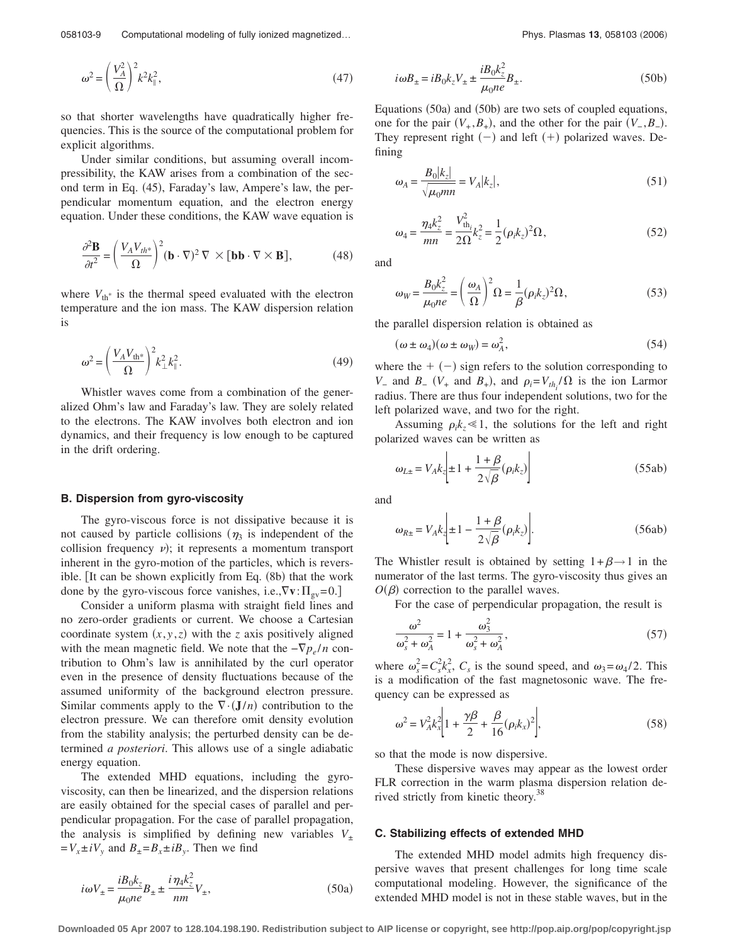058103-9 Computational modeling of fully ionized magnetized...

$$
\omega^2 = \left(\frac{V_A^2}{\Omega}\right)^2 k^2 k_{\parallel}^2,\tag{47}
$$

so that shorter wavelengths have quadratically higher frequencies. This is the source of the computational problem for explicit algorithms.

Under similar conditions, but assuming overall incompressibility, the KAW arises from a combination of the second term in Eq. (45), Faraday's law, Ampere's law, the perpendicular momentum equation, and the electron energy equation. Under these conditions, the KAW wave equation is

$$
\frac{\partial^2 \mathbf{B}}{\partial t^2} = \left(\frac{V_A V_{th^*}}{\Omega}\right)^2 (\mathbf{b} \cdot \nabla)^2 \nabla \times [\mathbf{b} \mathbf{b} \cdot \nabla \times \mathbf{B}],\tag{48}
$$

where  $V_{th}^*$  is the thermal speed evaluated with the electron temperature and the ion mass. The KAW dispersion relation is

$$
\omega^2 = \left(\frac{V_A V_{\text{th*}}}{\Omega}\right)^2 k_\perp^2 k_\parallel^2. \tag{49}
$$

Whistler waves come from a combination of the generalized Ohm's law and Faraday's law. They are solely related to the electrons. The KAW involves both electron and ion dynamics, and their frequency is low enough to be captured in the drift ordering.

#### **B. Dispersion from gyro-viscosity**

The gyro-viscous force is not dissipative because it is not caused by particle collisions ( $\eta_3$  is independent of the collision frequency  $\nu$ ); it represents a momentum transport inherent in the gyro-motion of the particles, which is reversible. [It can be shown explicitly from Eq. (8b) that the work done by the gyro-viscous force vanishes, i.e., $\nabla v: \Pi_{\text{av}}=0$ .]

Consider a uniform plasma with straight field lines and no zero-order gradients or current. We choose a Cartesian coordinate system  $(x, y, z)$  with the *z* axis positively aligned with the mean magnetic field. We note that the  $-\nabla p_e/n$  contribution to Ohm's law is annihilated by the curl operator even in the presence of density fluctuations because of the assumed uniformity of the background electron pressure. Similar comments apply to the  $\nabla \cdot (\mathbf{J}/n)$  contribution to the electron pressure. We can therefore omit density evolution from the stability analysis; the perturbed density can be determined *a posteriori*. This allows use of a single adiabatic energy equation.

The extended MHD equations, including the gyroviscosity, can then be linearized, and the dispersion relations are easily obtained for the special cases of parallel and perpendicular propagation. For the case of parallel propagation, the analysis is simplified by defining new variables  $V_+$  $=V_x \pm iV_y$  and  $B_{\pm} = B_x \pm iB_y$ . Then we find

$$
i\omega V_{\pm} = \frac{iB_0k_z}{\mu_0 n e}B_{\pm} \pm \frac{i\eta_4 k_z^2}{nm}V_{\pm},
$$
\n(50a)

$$
i\omega B_{\pm} = iB_0 k_z V_{\pm} \pm \frac{iB_0 k_z^2}{\mu_0 n e} B_{\pm}.
$$
 (50b)

Equations (50a) and (50b) are two sets of coupled equations, one for the pair  $(V_+, B_+)$ , and the other for the pair  $(V_-, B_-)$ . They represent right  $(-)$  and left  $(+)$  polarized waves. Defining

$$
\omega_A = \frac{B_0 |k_z|}{\sqrt{\mu_0 m n}} = V_A |k_z|,\tag{51}
$$

$$
\omega_4 = \frac{\eta_4 k_z^2}{mn} = \frac{V_{\text{th}_i}^2}{2\Omega} k_z^2 = \frac{1}{2} (\rho_i k_z)^2 \Omega, \tag{52}
$$

and

$$
\omega_W = \frac{B_0 k_z^2}{\mu_0 n e} = \left(\frac{\omega_A}{\Omega}\right)^2 \Omega = \frac{1}{\beta} (\rho_i k_z)^2 \Omega,
$$
\n(53)

the parallel dispersion relation is obtained as

$$
(\omega \pm \omega_4)(\omega \pm \omega_W) = \omega_A^2, \qquad (54)
$$

where the  $+(-)$  sign refers to the solution corresponding to *V*<sub>−</sub> and *B*<sub>−</sub>  $(V_+$  and *B*<sub>+</sub> $)$ , and  $\rho_i = V_{th_i}/\Omega$  is the ion Larmor radius. There are thus four independent solutions, two for the left polarized wave, and two for the right.

Assuming  $\rho_i k_z \ll 1$ , the solutions for the left and right polarized waves can be written as

$$
\omega_{L\pm} = V_A k_z \left[ \pm 1 + \frac{1+\beta}{2\sqrt{\beta}} (\rho_i k_z) \right]
$$
 (55ab)

and

$$
\omega_{R\pm} = V_A k_z \bigg[ \pm 1 - \frac{1+\beta}{2\sqrt{\beta}} (\rho_i k_z) \bigg].
$$
 (56ab)

The Whistler result is obtained by setting  $1+\beta \rightarrow 1$  in the numerator of the last terms. The gyro-viscosity thus gives an  $O(\beta)$  correction to the parallel waves.

For the case of perpendicular propagation, the result is

$$
\frac{\omega^2}{\omega_s^2 + \omega_A^2} = 1 + \frac{\omega_3^2}{\omega_s^2 + \omega_A^2},
$$
\n(57)

where  $\omega_s^2 = C_s^2 k_x^2$ ,  $C_s$  is the sound speed, and  $\omega_3 = \omega_4/2$ . This is a modification of the fast magnetosonic wave. The frequency can be expressed as

$$
\omega^2 = V_A^2 k_x^2 \bigg[ 1 + \frac{\gamma \beta}{2} + \frac{\beta}{16} (\rho_i k_x)^2 \bigg],\tag{58}
$$

so that the mode is now dispersive.

These dispersive waves may appear as the lowest order FLR correction in the warm plasma dispersion relation derived strictly from kinetic theory.<sup>38</sup>

#### **C. Stabilizing effects of extended MHD**

The extended MHD model admits high frequency dispersive waves that present challenges for long time scale computational modeling. However, the significance of the extended MHD model is not in these stable waves, but in the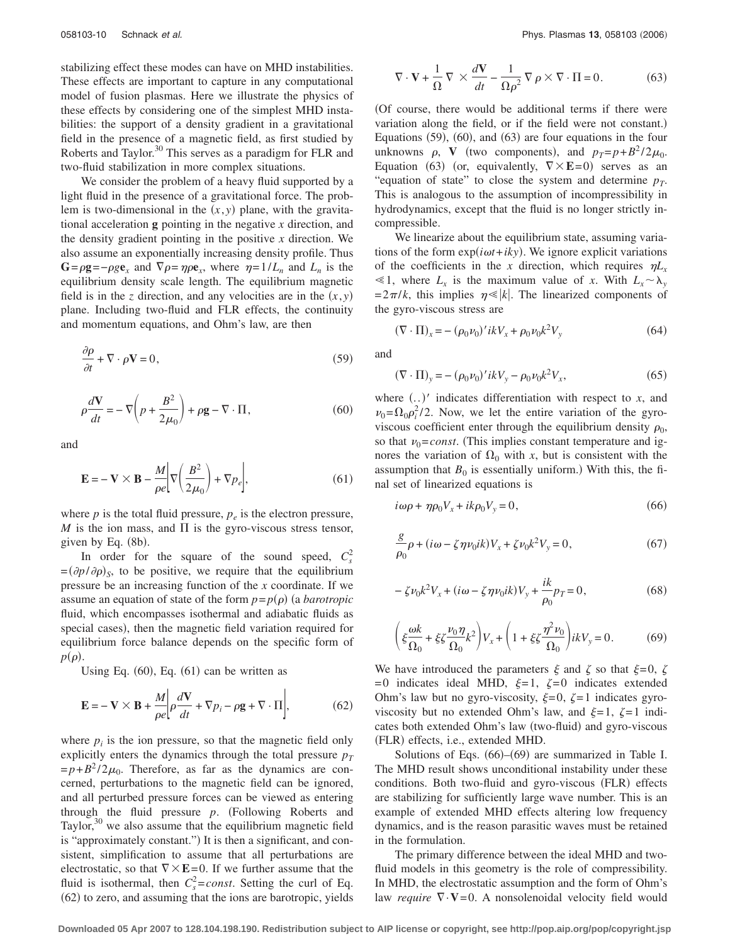stabilizing effect these modes can have on MHD instabilities. These effects are important to capture in any computational model of fusion plasmas. Here we illustrate the physics of these effects by considering one of the simplest MHD instabilities: the support of a density gradient in a gravitational field in the presence of a magnetic field, as first studied by Roberts and Taylor.<sup>30</sup> This serves as a paradigm for FLR and two-fluid stabilization in more complex situations.

We consider the problem of a heavy fluid supported by a light fluid in the presence of a gravitational force. The problem is two-dimensional in the  $(x, y)$  plane, with the gravitational acceleration **g** pointing in the negative *x* direction, and the density gradient pointing in the positive *x* direction. We also assume an exponentially increasing density profile. Thus  $G = \rho g = -\rho g e_x$  and  $\nabla \rho = \eta \rho e_x$ , where  $\eta = 1/L_n$  and  $L_n$  is the equilibrium density scale length. The equilibrium magnetic field is in the *z* direction, and any velocities are in the  $(x, y)$ plane. Including two-fluid and FLR effects, the continuity and momentum equations, and Ohm's law, are then

$$
\frac{\partial \rho}{\partial t} + \nabla \cdot \rho \mathbf{V} = 0,\tag{59}
$$

$$
\rho \frac{d\mathbf{V}}{dt} = -\nabla \left( p + \frac{B^2}{2\mu_0} \right) + \rho \mathbf{g} - \nabla \cdot \Pi,\tag{60}
$$

and

$$
\mathbf{E} = -\mathbf{V} \times \mathbf{B} - \frac{M}{\rho e} \nabla \left( \frac{B^2}{2\mu_0} \right) + \nabla p_e,
$$
 (61)

where  $p$  is the total fluid pressure,  $p_e$  is the electron pressure, *M* is the ion mass, and  $\Pi$  is the gyro-viscous stress tensor, given by Eq. (8b).

In order for the square of the sound speed,  $C_s^2$  $=$  $(\partial p / \partial \rho)_s$ , to be positive, we require that the equilibrium pressure be an increasing function of the *x* coordinate. If we assume an equation of state of the form  $p = p(\rho)$  (a *barotropic* fluid, which encompasses isothermal and adiabatic fluids as special cases), then the magnetic field variation required for equilibrium force balance depends on the specific form of  $p(\rho)$ .

Using Eq.  $(60)$ , Eq.  $(61)$  can be written as

$$
\mathbf{E} = -\mathbf{V} \times \mathbf{B} + \frac{M}{\rho e} \bigg| \rho \frac{d\mathbf{V}}{dt} + \nabla p_i - \rho \mathbf{g} + \nabla \cdot \Pi \bigg|, \tag{62}
$$

where  $p_i$  is the ion pressure, so that the magnetic field only explicitly enters the dynamics through the total pressure  $p_T$  $=p+B^2/2\mu_0$ . Therefore, as far as the dynamics are concerned, perturbations to the magnetic field can be ignored, and all perturbed pressure forces can be viewed as entering through the fluid pressure  $p$ . (Following Roberts and Taylor, $30$  we also assume that the equilibrium magnetic field is "approximately constant.") It is then a significant, and consistent, simplification to assume that all perturbations are electrostatic, so that  $\nabla \times \mathbf{E} = 0$ . If we further assume that the fluid is isothermal, then  $C_s^2$ =const. Setting the curl of Eq. (62) to zero, and assuming that the ions are barotropic, yields

$$
\nabla \cdot \mathbf{V} + \frac{1}{\Omega} \nabla \times \frac{d\mathbf{V}}{dt} - \frac{1}{\Omega \rho^2} \nabla \rho \times \nabla \cdot \Pi = 0.
$$
 (63)

Of course, there would be additional terms if there were variation along the field, or if the field were not constant.) Equations  $(59)$ ,  $(60)$ , and  $(63)$  are four equations in the four unknowns  $\rho$ , **V** (two components), and  $p_T = p + B^2 / 2\mu_0$ . Equation (63) (or, equivalently,  $\nabla \times \mathbf{E} = 0$ ) serves as an "equation of state" to close the system and determine  $p_T$ . This is analogous to the assumption of incompressibility in hydrodynamics, except that the fluid is no longer strictly incompressible.

We linearize about the equilibrium state, assuming variations of the form  $exp(i\omega t + iky)$ . We ignore explicit variations of the coefficients in the *x* direction, which requires  $\eta L_x$  $\leq 1$ , where  $L_x$  is the maximum value of *x*. With  $L_x \sim \lambda_y$  $= 2\pi/k$ , this implies  $\eta \ll |k|$ . The linearized components of the gyro-viscous stress are

$$
(\nabla \cdot \Pi)_x = -(\rho_0 \nu_0)' i k V_x + \rho_0 \nu_0 k^2 V_y \tag{64}
$$

and

$$
(\nabla \cdot \Pi)_y = -(\rho_0 \nu_0)' i k V_y - \rho_0 \nu_0 k^2 V_x,\tag{65}
$$

where  $($ ..)' indicates differentiation with respect to  $x$ , and  $\nu_0 = \Omega_0 \rho_i^2 / 2$ . Now, we let the entire variation of the gyroviscous coefficient enter through the equilibrium density  $\rho_0$ , so that  $\nu_0 = const.$  (This implies constant temperature and ignores the variation of  $\Omega_0$  with x, but is consistent with the assumption that  $B_0$  is essentially uniform.) With this, the final set of linearized equations is

$$
i\omega\rho + \eta\rho_0 V_x + ik\rho_0 V_y = 0,\t\t(66)
$$

$$
\frac{g}{\rho_0}\rho + (i\omega - \zeta \eta \nu_0 ik)V_x + \zeta \nu_0 k^2 V_y = 0, \qquad (67)
$$

$$
-\zeta \nu_0 k^2 V_x + (i\omega - \zeta \eta \nu_0 ik) V_y + \frac{ik}{\rho_0} p_T = 0,
$$
 (68)

$$
\left(\xi \frac{\omega k}{\Omega_0} + \xi \zeta \frac{\nu_0 \eta}{\Omega_0} k^2\right) V_x + \left(1 + \xi \zeta \frac{\eta^2 \nu_0}{\Omega_0}\right) ik V_y = 0. \tag{69}
$$

We have introduced the parameters  $\xi$  and  $\zeta$  so that  $\xi=0, \zeta$ =0 indicates ideal MHD,  $\xi$ =1,  $\zeta$ =0 indicates extended Ohm's law but no gyro-viscosity,  $\xi = 0$ ,  $\zeta = 1$  indicates gyroviscosity but no extended Ohm's law, and  $\xi = 1$ ,  $\zeta = 1$  indicates both extended Ohm's law (two-fluid) and gyro-viscous (FLR) effects, i.e., extended MHD.

Solutions of Eqs.  $(66)$ - $(69)$  are summarized in Table I. The MHD result shows unconditional instability under these conditions. Both two-fluid and gyro-viscous (FLR) effects are stabilizing for sufficiently large wave number. This is an example of extended MHD effects altering low frequency dynamics, and is the reason parasitic waves must be retained in the formulation.

The primary difference between the ideal MHD and twofluid models in this geometry is the role of compressibility. In MHD, the electrostatic assumption and the form of Ohm's law *require*  $\nabla \cdot \mathbf{V} = 0$ . A nonsolenoidal velocity field would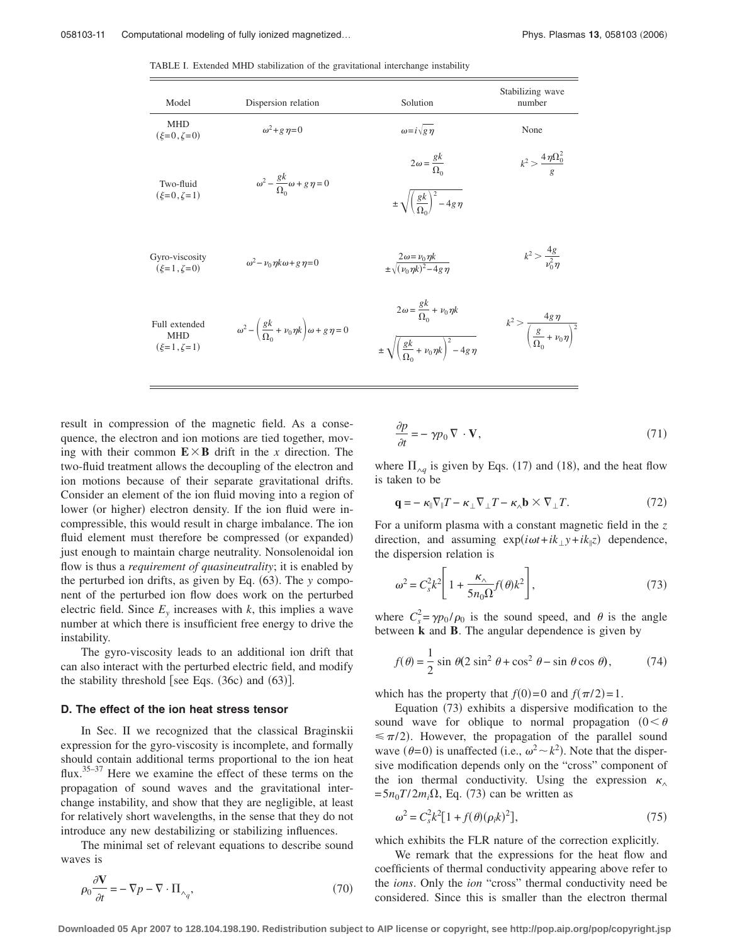TABLE I. Extended MHD stabilization of the gravitational interchange instability

| Model                                            | Dispersion relation                                                              | Solution                                                                                                                     | Stabilizing wave<br>number                                                   |
|--------------------------------------------------|----------------------------------------------------------------------------------|------------------------------------------------------------------------------------------------------------------------------|------------------------------------------------------------------------------|
| <b>MHD</b><br>$(\xi = 0, \zeta = 0)$             | $\omega^2$ +g $\eta$ =0                                                          | $\omega = i \sqrt{g} \eta$                                                                                                   | None                                                                         |
| Two-fluid<br>$(\xi = 0, \zeta = 1)$              | $\omega^2 - \frac{gk}{\Omega_0}\omega + g\eta = 0$                               | $2\omega = \frac{g k}{\Omega_0}$<br>$\pm\sqrt{\left(\frac{gk}{\Omega_{0}}\right)^{2}-4g\eta}$                                | $k^2 > \frac{4 \eta \Omega_0^2}{g}$                                          |
| Gyro-viscosity<br>$(\xi=1,\zeta=0)$              | $\omega^2 - \nu_0 \eta k \omega + g \eta = 0$                                    | $\frac{2\omega = \nu_0 \eta k}{\pm \sqrt{(\nu_0 \eta k)^2 - 4 g \eta}}$                                                      | $k^2 > \frac{4g}{\nu_0^2 \eta}$                                              |
| Full extended<br><b>MHD</b><br>$(\xi=1,\zeta=1)$ | $\omega^2 - \left(\frac{gk}{\Omega_0} + \nu_0 \eta k\right) \omega + g \eta = 0$ | $2\omega = \frac{g k}{\Omega_0} + \nu_0 \eta k$<br>$\pm\sqrt{\left(\frac{gk}{\Omega_{0}}+\nu_{0}\eta k\right)^{2}-4g\,\eta}$ | $k^2 > \frac{4g\,\eta}{\left(\frac{g}{\Omega_{\circ}} + \nu_0\eta\right)^2}$ |

Phys. Plasmas 13, 058103 (2006)

result in compression of the magnetic field. As a consequence, the electron and ion motions are tied together, moving with their common  $E \times B$  drift in the *x* direction. The two-fluid treatment allows the decoupling of the electron and ion motions because of their separate gravitational drifts. Consider an element of the ion fluid moving into a region of lower (or higher) electron density. If the ion fluid were incompressible, this would result in charge imbalance. The ion fluid element must therefore be compressed (or expanded) just enough to maintain charge neutrality. Nonsolenoidal ion flow is thus a *requirement of quasineutrality*; it is enabled by the perturbed ion drifts, as given by Eq. (63). The *y* component of the perturbed ion flow does work on the perturbed electric field. Since  $E_y$  increases with  $k$ , this implies a wave number at which there is insufficient free energy to drive the instability.

The gyro-viscosity leads to an additional ion drift that can also interact with the perturbed electric field, and modify the stability threshold [see Eqs.  $(36c)$  and  $(63)$ ].

# **D. The effect of the ion heat stress tensor**

In Sec. II we recognized that the classical Braginskii expression for the gyro-viscosity is incomplete, and formally should contain additional terms proportional to the ion heat flux. $35-37$  Here we examine the effect of these terms on the propagation of sound waves and the gravitational interchange instability, and show that they are negligible, at least for relatively short wavelengths, in the sense that they do not introduce any new destabilizing or stabilizing influences.

The minimal set of relevant equations to describe sound waves is

$$
\rho_0 \frac{\partial \mathbf{V}}{\partial t} = -\nabla p - \nabla \cdot \Pi_{\wedge q},\tag{70}
$$

$$
\frac{\partial p}{\partial t} = -\gamma p_0 \nabla \cdot \mathbf{V},\tag{71}
$$

where  $\Pi_{\setminus q}$  is given by Eqs. (17) and (18), and the heat flow is taken to be

$$
\mathbf{q} = -\kappa_{\parallel} \nabla_{\parallel} T - \kappa_{\perp} \nabla_{\perp} T - \kappa_{\wedge} \mathbf{b} \times \nabla_{\perp} T. \tag{72}
$$

For a uniform plasma with a constant magnetic field in the *z* direction, and assuming  $exp(i\omega t + ik_{\perp}y + ik_{\parallel}z)$  dependence, the dispersion relation is

$$
\omega^2 = C_s^2 k^2 \left[ 1 + \frac{\kappa_A}{5n_0 \Omega} f(\theta) k^2 \right],\tag{73}
$$

where  $C_s^2 = \gamma p_0 / \rho_0$  is the sound speed, and  $\theta$  is the angle between **k** and **B**. The angular dependence is given by

$$
f(\theta) = \frac{1}{2} \sin \theta (2 \sin^2 \theta + \cos^2 \theta - \sin \theta \cos \theta),
$$
 (74)

which has the property that  $f(0)=0$  and  $f(\pi/2)=1$ .

Equation (73) exhibits a dispersive modification to the sound wave for oblique to normal propagation  $(0 < \theta$  $\leq \pi/2$ ). However, the propagation of the parallel sound wave  $(\theta=0)$  is unaffected (i.e.,  $\omega^2 \sim k^2$ ). Note that the dispersive modification depends only on the "cross" component of the ion thermal conductivity. Using the expression  $\kappa_{\lambda}$  $= 5n_0T/2m_i\Omega$ , Eq. (73) can be written as

$$
\omega^2 = C_s^2 k^2 [1 + f(\theta)(\rho_i k)^2],\tag{75}
$$

which exhibits the FLR nature of the correction explicitly.

We remark that the expressions for the heat flow and coefficients of thermal conductivity appearing above refer to the *ions*. Only the *ion* "cross" thermal conductivity need be considered. Since this is smaller than the electron thermal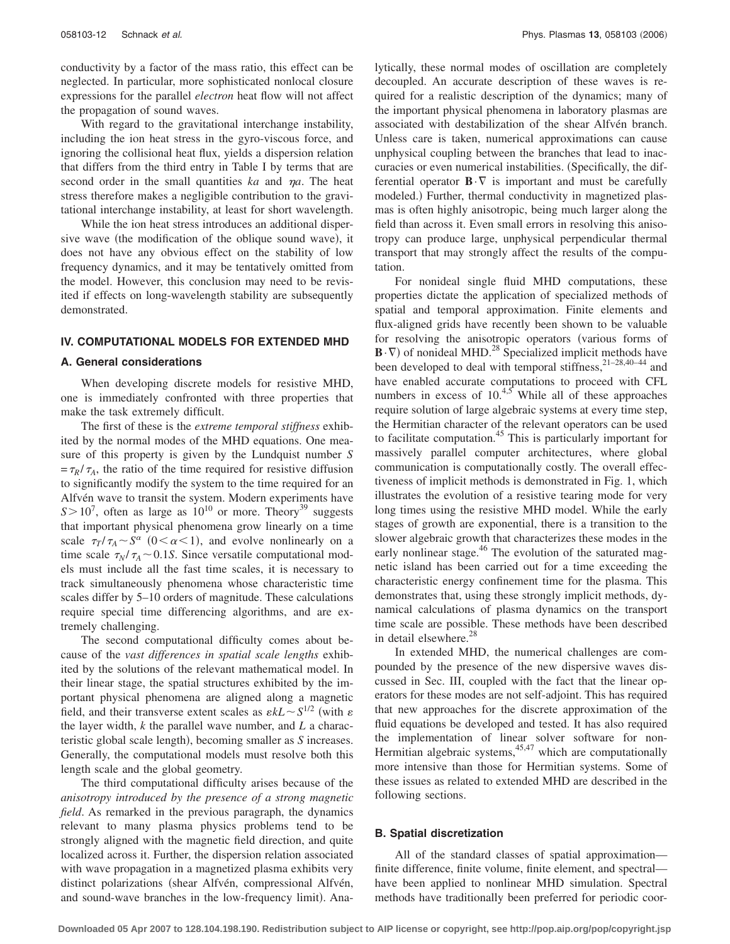conductivity by a factor of the mass ratio, this effect can be neglected. In particular, more sophisticated nonlocal closure expressions for the parallel *electron* heat flow will not affect the propagation of sound waves.

With regard to the gravitational interchange instability, including the ion heat stress in the gyro-viscous force, and ignoring the collisional heat flux, yields a dispersion relation that differs from the third entry in Table I by terms that are second order in the small quantities  $ka$  and  $\eta a$ . The heat stress therefore makes a negligible contribution to the gravitational interchange instability, at least for short wavelength.

While the ion heat stress introduces an additional dispersive wave (the modification of the oblique sound wave), it does not have any obvious effect on the stability of low frequency dynamics, and it may be tentatively omitted from the model. However, this conclusion may need to be revisited if effects on long-wavelength stability are subsequently demonstrated.

# **IV. COMPUTATIONAL MODELS FOR EXTENDED MHD**

# **A. General considerations**

When developing discrete models for resistive MHD, one is immediately confronted with three properties that make the task extremely difficult.

The first of these is the *extreme temporal stiffness* exhibited by the normal modes of the MHD equations. One measure of this property is given by the Lundquist number *S*  $=\tau_R/\tau_A$ , the ratio of the time required for resistive diffusion to significantly modify the system to the time required for an Alfvén wave to transit the system. Modern experiments have  $S > 10^7$ , often as large as  $10^{10}$  or more. Theory<sup>39</sup> suggests that important physical phenomena grow linearly on a time scale  $\tau_T / \tau_A \sim S^{\alpha}$  ( $0 \le \alpha \le 1$ ), and evolve nonlinearly on a time scale  $\tau_N / \tau_A \sim 0.1$ *S*. Since versatile computational models must include all the fast time scales, it is necessary to track simultaneously phenomena whose characteristic time scales differ by 5–10 orders of magnitude. These calculations require special time differencing algorithms, and are extremely challenging.

The second computational difficulty comes about because of the *vast differences in spatial scale lengths* exhibited by the solutions of the relevant mathematical model. In their linear stage, the spatial structures exhibited by the important physical phenomena are aligned along a magnetic field, and their transverse extent scales as  $\epsilon kL \sim S^{1/2}$  (with  $\epsilon$ the layer width, *k* the parallel wave number, and *L* a characteristic global scale length), becoming smaller as *S* increases. Generally, the computational models must resolve both this length scale and the global geometry.

The third computational difficulty arises because of the *anisotropy introduced by the presence of a strong magnetic field*. As remarked in the previous paragraph, the dynamics relevant to many plasma physics problems tend to be strongly aligned with the magnetic field direction, and quite localized across it. Further, the dispersion relation associated with wave propagation in a magnetized plasma exhibits very distinct polarizations (shear Alfvén, compressional Alfvén, and sound-wave branches in the low-frequency limit). Analytically, these normal modes of oscillation are completely decoupled. An accurate description of these waves is required for a realistic description of the dynamics; many of the important physical phenomena in laboratory plasmas are associated with destabilization of the shear Alfvén branch. Unless care is taken, numerical approximations can cause unphysical coupling between the branches that lead to inaccuracies or even numerical instabilities. (Specifically, the differential operator  $\mathbf{B} \cdot \nabla$  is important and must be carefully modeled.) Further, thermal conductivity in magnetized plasmas is often highly anisotropic, being much larger along the field than across it. Even small errors in resolving this anisotropy can produce large, unphysical perpendicular thermal transport that may strongly affect the results of the computation.

For nonideal single fluid MHD computations, these properties dictate the application of specialized methods of spatial and temporal approximation. Finite elements and flux-aligned grids have recently been shown to be valuable for resolving the anisotropic operators (various forms of  $\mathbf{B}\cdot\nabla$ ) of nonideal MHD.<sup>28</sup> Specialized implicit methods have been developed to deal with temporal stiffness, $2^{1-28,40-44}$  and have enabled accurate computations to proceed with CFL numbers in excess of  $10^{4,5}$  While all of these approaches require solution of large algebraic systems at every time step, the Hermitian character of the relevant operators can be used to facilitate computation.45 This is particularly important for massively parallel computer architectures, where global communication is computationally costly. The overall effectiveness of implicit methods is demonstrated in Fig. 1, which illustrates the evolution of a resistive tearing mode for very long times using the resistive MHD model. While the early stages of growth are exponential, there is a transition to the slower algebraic growth that characterizes these modes in the early nonlinear stage.<sup>46</sup> The evolution of the saturated magnetic island has been carried out for a time exceeding the characteristic energy confinement time for the plasma. This demonstrates that, using these strongly implicit methods, dynamical calculations of plasma dynamics on the transport time scale are possible. These methods have been described in detail elsewhere.<sup>28</sup>

In extended MHD, the numerical challenges are compounded by the presence of the new dispersive waves discussed in Sec. III, coupled with the fact that the linear operators for these modes are not self-adjoint. This has required that new approaches for the discrete approximation of the fluid equations be developed and tested. It has also required the implementation of linear solver software for non-Hermitian algebraic systems,  $45,47$  which are computationally more intensive than those for Hermitian systems. Some of these issues as related to extended MHD are described in the following sections.

#### **B. Spatial discretization**

All of the standard classes of spatial approximation finite difference, finite volume, finite element, and spectral have been applied to nonlinear MHD simulation. Spectral methods have traditionally been preferred for periodic coor-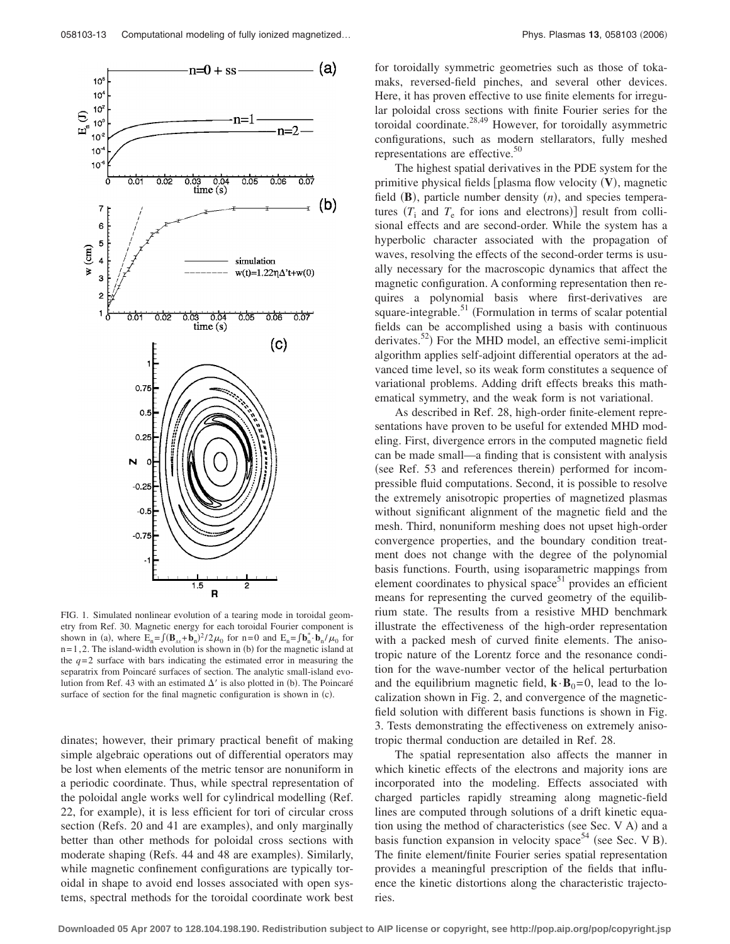

FIG. 1. Simulated nonlinear evolution of a tearing mode in toroidal geometry from Ref. 30. Magnetic energy for each toroidal Fourier component is shown in (a), where  $E_n = \int (\mathbf{B}_{ss} + \mathbf{b}_n)^2 / 2\mu_0$  for  $n = 0$  and  $E_n = \int \mathbf{b}_n^* \cdot \mathbf{b}_n / \mu_0$  for  $n = 1, 2$ . The island-width evolution is shown in (b) for the magnetic island at the  $q=2$  surface with bars indicating the estimated error in measuring the separatrix from Poincaré surfaces of section. The analytic small-island evolution from Ref. 43 with an estimated  $\Delta'$  is also plotted in (b). The Poincaré surface of section for the final magnetic configuration is shown in (c).

dinates; however, their primary practical benefit of making simple algebraic operations out of differential operators may be lost when elements of the metric tensor are nonuniform in a periodic coordinate. Thus, while spectral representation of the poloidal angle works well for cylindrical modelling (Ref. 22, for example), it is less efficient for tori of circular cross section (Refs. 20 and 41 are examples), and only marginally better than other methods for poloidal cross sections with moderate shaping (Refs. 44 and 48 are examples). Similarly, while magnetic confinement configurations are typically toroidal in shape to avoid end losses associated with open systems, spectral methods for the toroidal coordinate work best for toroidally symmetric geometries such as those of tokamaks, reversed-field pinches, and several other devices. Here, it has proven effective to use finite elements for irregular poloidal cross sections with finite Fourier series for the toroidal coordinate.28,49 However, for toroidally asymmetric configurations, such as modern stellarators, fully meshed representations are effective.<sup>50</sup>

The highest spatial derivatives in the PDE system for the primitive physical fields [plasma flow velocity  $(V)$ , magnetic field  $(B)$ , particle number density  $(n)$ , and species temperatures  $(T_i$  and  $T_e$  for ions and electrons)] result from collisional effects and are second-order. While the system has a hyperbolic character associated with the propagation of waves, resolving the effects of the second-order terms is usually necessary for the macroscopic dynamics that affect the magnetic configuration. A conforming representation then requires a polynomial basis where first-derivatives are square-integrable. $51$  (Formulation in terms of scalar potential fields can be accomplished using a basis with continuous derivates.<sup>52</sup>) For the MHD model, an effective semi-implicit algorithm applies self-adjoint differential operators at the advanced time level, so its weak form constitutes a sequence of variational problems. Adding drift effects breaks this mathematical symmetry, and the weak form is not variational.

As described in Ref. 28, high-order finite-element representations have proven to be useful for extended MHD modeling. First, divergence errors in the computed magnetic field can be made small—a finding that is consistent with analysis (see Ref. 53 and references therein) performed for incompressible fluid computations. Second, it is possible to resolve the extremely anisotropic properties of magnetized plasmas without significant alignment of the magnetic field and the mesh. Third, nonuniform meshing does not upset high-order convergence properties, and the boundary condition treatment does not change with the degree of the polynomial basis functions. Fourth, using isoparametric mappings from element coordinates to physical space<sup>51</sup> provides an efficient means for representing the curved geometry of the equilibrium state. The results from a resistive MHD benchmark illustrate the effectiveness of the high-order representation with a packed mesh of curved finite elements. The anisotropic nature of the Lorentz force and the resonance condition for the wave-number vector of the helical perturbation and the equilibrium magnetic field,  $\mathbf{k} \cdot \mathbf{B}_0 = 0$ , lead to the localization shown in Fig. 2, and convergence of the magneticfield solution with different basis functions is shown in Fig. 3. Tests demonstrating the effectiveness on extremely anisotropic thermal conduction are detailed in Ref. 28.

The spatial representation also affects the manner in which kinetic effects of the electrons and majority ions are incorporated into the modeling. Effects associated with charged particles rapidly streaming along magnetic-field lines are computed through solutions of a drift kinetic equation using the method of characteristics (see Sec. V A) and a basis function expansion in velocity space<sup>54</sup> (see Sec. V B). The finite element/finite Fourier series spatial representation provides a meaningful prescription of the fields that influence the kinetic distortions along the characteristic trajectories.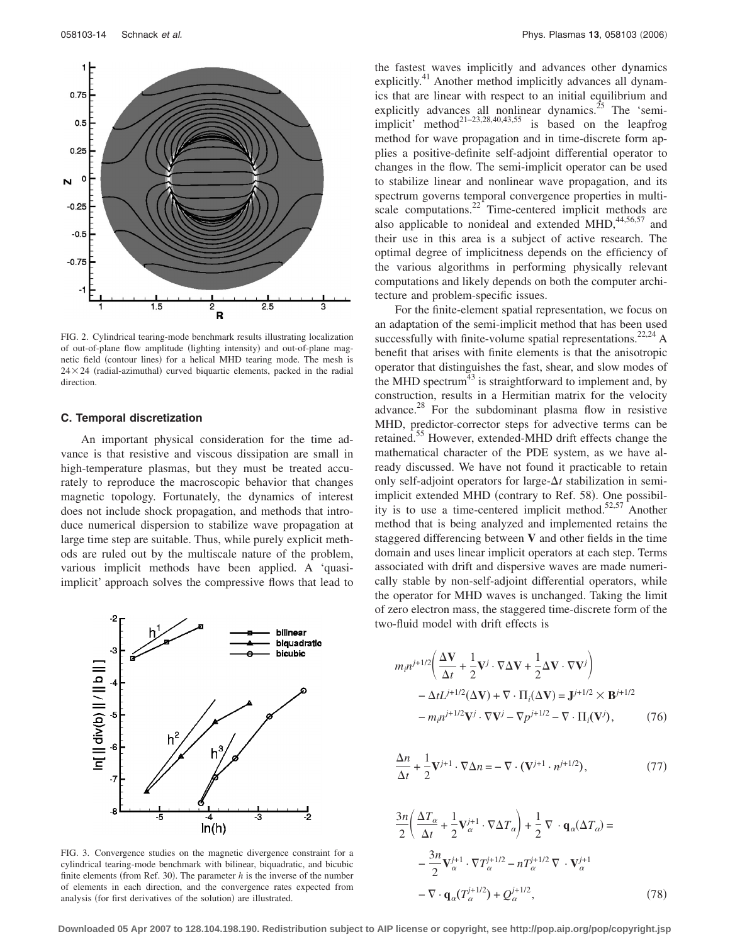

FIG. 2. Cylindrical tearing-mode benchmark results illustrating localization of out-of-plane flow amplitude (lighting intensity) and out-of-plane magnetic field (contour lines) for a helical MHD tearing mode. The mesh is  $24 \times 24$  (radial-azimuthal) curved biquartic elements, packed in the radial direction.

### **C. Temporal discretization**

An important physical consideration for the time advance is that resistive and viscous dissipation are small in high-temperature plasmas, but they must be treated accurately to reproduce the macroscopic behavior that changes magnetic topology. Fortunately, the dynamics of interest does not include shock propagation, and methods that introduce numerical dispersion to stabilize wave propagation at large time step are suitable. Thus, while purely explicit methods are ruled out by the multiscale nature of the problem, various implicit methods have been applied. A 'quasiimplicit' approach solves the compressive flows that lead to



FIG. 3. Convergence studies on the magnetic divergence constraint for a cylindrical tearing-mode benchmark with bilinear, biquadratic, and bicubic finite elements (from Ref. 30). The parameter  $h$  is the inverse of the number of elements in each direction, and the convergence rates expected from analysis (for first derivatives of the solution) are illustrated.

the fastest waves implicitly and advances other dynamics explicitly.41 Another method implicitly advances all dynamics that are linear with respect to an initial equilibrium and explicitly advances all nonlinear dynamics.<sup>25</sup> The 'semiimplicit' method<sup>21-23,28,40,43,55</sup> is based on the leapfrog method for wave propagation and in time-discrete form applies a positive-definite self-adjoint differential operator to changes in the flow. The semi-implicit operator can be used to stabilize linear and nonlinear wave propagation, and its spectrum governs temporal convergence properties in multiscale computations. $22$  Time-centered implicit methods are also applicable to nonideal and extended MHD, $44,56,57$  and their use in this area is a subject of active research. The optimal degree of implicitness depends on the efficiency of the various algorithms in performing physically relevant computations and likely depends on both the computer architecture and problem-specific issues.

For the finite-element spatial representation, we focus on an adaptation of the semi-implicit method that has been used successfully with finite-volume spatial representations.<sup>22,24</sup> A benefit that arises with finite elements is that the anisotropic operator that distinguishes the fast, shear, and slow modes of the MHD spectrum<sup>43</sup> is straightforward to implement and, by construction, results in a Hermitian matrix for the velocity advance. $^{28}$  For the subdominant plasma flow in resistive MHD, predictor-corrector steps for advective terms can be retained.<sup>55</sup> However, extended-MHD drift effects change the mathematical character of the PDE system, as we have already discussed. We have not found it practicable to retain only self-adjoint operators for large- $\Delta t$  stabilization in semiimplicit extended MHD (contrary to Ref. 58). One possibility is to use a time-centered implicit method.<sup>52,57</sup> Another method that is being analyzed and implemented retains the staggered differencing between **V** and other fields in the time domain and uses linear implicit operators at each step. Terms associated with drift and dispersive waves are made numerically stable by non-self-adjoint differential operators, while the operator for MHD waves is unchanged. Taking the limit of zero electron mass, the staggered time-discrete form of the two-fluid model with drift effects is

$$
m_i n^{j+1/2} \left( \frac{\Delta \mathbf{V}}{\Delta t} + \frac{1}{2} \mathbf{V}^j \cdot \nabla \Delta \mathbf{V} + \frac{1}{2} \Delta \mathbf{V} \cdot \nabla \mathbf{V}^j \right)
$$
  
-  $\Delta t L^{j+1/2} (\Delta \mathbf{V}) + \nabla \cdot \Pi_i (\Delta \mathbf{V}) = \mathbf{J}^{j+1/2} \times \mathbf{B}^{j+1/2}$   
-  $m_i n^{j+1/2} \mathbf{V}^j \cdot \nabla \mathbf{V}^j - \nabla p^{j+1/2} - \nabla \cdot \Pi_i (\mathbf{V}^j),$  (76)

$$
\frac{\Delta n}{\Delta t} + \frac{1}{2} \mathbf{V}^{j+1} \cdot \nabla \Delta n = -\nabla \cdot (\mathbf{V}^{j+1} \cdot n^{j+1/2}),\tag{77}
$$

$$
\frac{3n}{2} \left( \frac{\Delta T_{\alpha}}{\Delta t} + \frac{1}{2} \mathbf{V}_{\alpha}^{j+1} \cdot \nabla \Delta T_{\alpha} \right) + \frac{1}{2} \nabla \cdot \mathbf{q}_{\alpha} (\Delta T_{\alpha}) =
$$

$$
- \frac{3n}{2} \mathbf{V}_{\alpha}^{j+1} \cdot \nabla T_{\alpha}^{j+1/2} - n T_{\alpha}^{j+1/2} \nabla \cdot \mathbf{V}_{\alpha}^{j+1}
$$

$$
- \nabla \cdot \mathbf{q}_{\alpha} (T_{\alpha}^{j+1/2}) + Q_{\alpha}^{j+1/2}, \qquad (78)
$$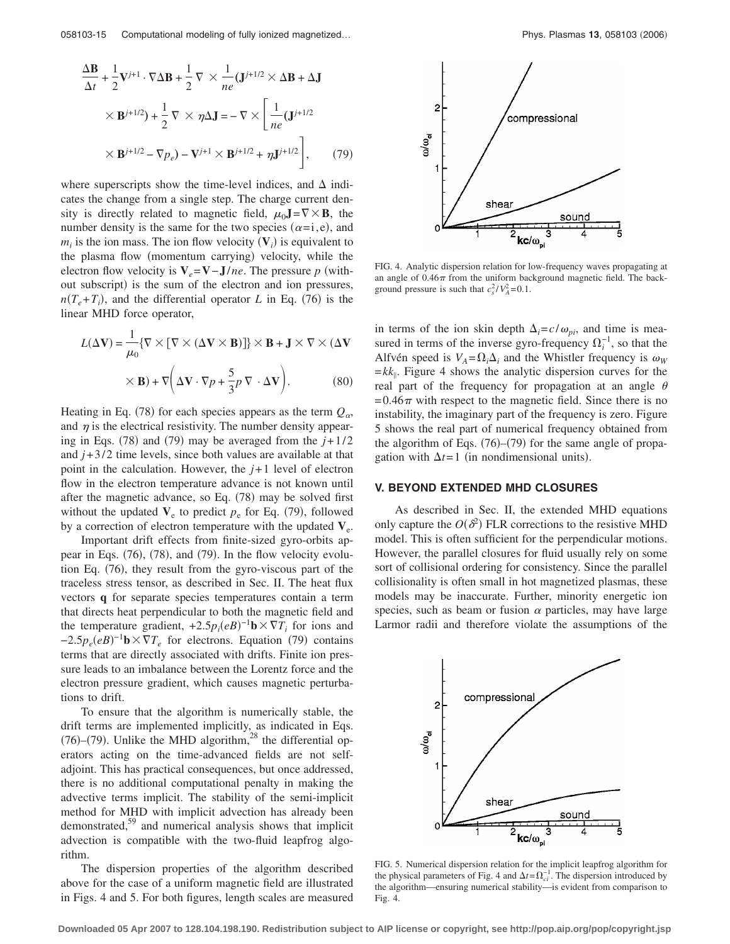$$
\frac{\Delta \mathbf{B}}{\Delta t} + \frac{1}{2} \mathbf{V}^{j+1} \cdot \nabla \Delta \mathbf{B} + \frac{1}{2} \nabla \times \frac{1}{ne} (\mathbf{J}^{j+1/2} \times \Delta \mathbf{B} + \Delta \mathbf{J}
$$
  
 
$$
\times \mathbf{B}^{j+1/2}) + \frac{1}{2} \nabla \times \eta \Delta \mathbf{J} = -\nabla \times \left[ \frac{1}{ne} (\mathbf{J}^{j+1/2} + \mathbf{B}^{j+1/2}) \right],
$$
 (79)

where superscripts show the time-level indices, and  $\Delta$  indicates the change from a single step. The charge current density is directly related to magnetic field,  $\mu_0 \mathbf{J} = \nabla \times \mathbf{B}$ , the number density is the same for the two species  $(\alpha = i, e)$ , and  $m_i$  is the ion mass. The ion flow velocity  $(V_i)$  is equivalent to the plasma flow (momentum carrying) velocity, while the electron flow velocity is  $V_e = V - J/ne$ . The pressure *p* (without subscript) is the sum of the electron and ion pressures,  $n(T_e+T_i)$ , and the differential operator *L* in Eq. (76) is the linear MHD force operator,

$$
L(\Delta \mathbf{V}) = \frac{1}{\mu_0} \{ \nabla \times [\nabla \times (\Delta \mathbf{V} \times \mathbf{B})] \} \times \mathbf{B} + \mathbf{J} \times \nabla \times (\Delta \mathbf{V})
$$

$$
\times \mathbf{B}) + \nabla \left( \Delta \mathbf{V} \cdot \nabla p + \frac{5}{3} p \, \nabla \cdot \Delta \mathbf{V} \right). \tag{80}
$$

Heating in Eq. (78) for each species appears as the term  $Q_{\alpha}$ , and  $\eta$  is the electrical resistivity. The number density appearing in Eqs. (78) and (79) may be averaged from the  $j+1/2$ and *j*+3/2 time levels, since both values are available at that point in the calculation. However, the  $j+1$  level of electron flow in the electron temperature advance is not known until after the magnetic advance, so Eq. (78) may be solved first without the updated  $V_e$  to predict  $p_e$  for Eq. (79), followed by a correction of electron temperature with the updated **V**e.

Important drift effects from finite-sized gyro-orbits appear in Eqs. (76), (78), and (79). In the flow velocity evolution Eq. (76), they result from the gyro-viscous part of the traceless stress tensor, as described in Sec. II. The heat flux vectors **q** for separate species temperatures contain a term that directs heat perpendicular to both the magnetic field and the temperature gradient,  $+2.5p_i(eB)^{-1}$ **b** $\times \nabla T_i$  for ions and  $-2.5p_e(eB)^{-1}$ **b**  $\times \nabla T_e$  for electrons. Equation (79) contains terms that are directly associated with drifts. Finite ion pressure leads to an imbalance between the Lorentz force and the electron pressure gradient, which causes magnetic perturbations to drift.

To ensure that the algorithm is numerically stable, the drift terms are implemented implicitly, as indicated in Eqs.  $(76)$ – $(79)$ . Unlike the MHD algorithm,<sup>28</sup> the differential operators acting on the time-advanced fields are not selfadjoint. This has practical consequences, but once addressed, there is no additional computational penalty in making the advective terms implicit. The stability of the semi-implicit method for MHD with implicit advection has already been demonstrated,<sup>59</sup> and numerical analysis shows that implicit advection is compatible with the two-fluid leapfrog algorithm.

The dispersion properties of the algorithm described above for the case of a uniform magnetic field are illustrated in Figs. 4 and 5. For both figures, length scales are measured



FIG. 4. Analytic dispersion relation for low-frequency waves propagating at an angle of  $0.46\pi$  from the uniform background magnetic field. The background pressure is such that  $c_s^2 / V_A^2 = 0.1$ .

in terms of the ion skin depth  $\Delta_i = c/\omega_{pi}$ , and time is measured in terms of the inverse gyro-frequency  $\Omega_i^{-1}$ , so that the Alfvén speed is  $V_A = \Omega_i \Delta_i$  and the Whistler frequency is  $\omega_W$  $=kk_{\parallel}$ . Figure 4 shows the analytic dispersion curves for the real part of the frequency for propagation at an angle  $\theta$  $= 0.46 \pi$  with respect to the magnetic field. Since there is no instability, the imaginary part of the frequency is zero. Figure 5 shows the real part of numerical frequency obtained from the algorithm of Eqs.  $(76)$ – $(79)$  for the same angle of propagation with  $\Delta t = 1$  (in nondimensional units).

### **V. BEYOND EXTENDED MHD CLOSURES**

As described in Sec. II, the extended MHD equations only capture the  $O(\delta^2)$  FLR corrections to the resistive MHD model. This is often sufficient for the perpendicular motions. However, the parallel closures for fluid usually rely on some sort of collisional ordering for consistency. Since the parallel collisionality is often small in hot magnetized plasmas, these models may be inaccurate. Further, minority energetic ion species, such as beam or fusion  $\alpha$  particles, may have large Larmor radii and therefore violate the assumptions of the



FIG. 5. Numerical dispersion relation for the implicit leapfrog algorithm for the physical parameters of Fig. 4 and  $\Delta t = \Omega_{ci}^{-1}$ . The dispersion introduced by the algorithm—ensuring numerical stability—is evident from comparison to Fig. 4.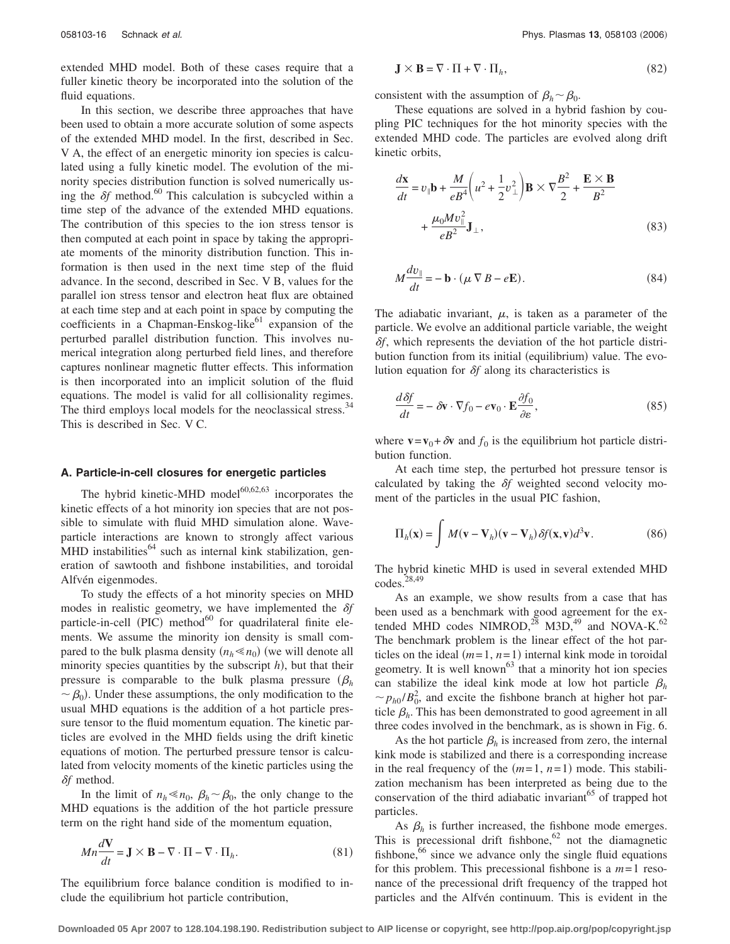extended MHD model. Both of these cases require that a fuller kinetic theory be incorporated into the solution of the fluid equations.

In this section, we describe three approaches that have been used to obtain a more accurate solution of some aspects of the extended MHD model. In the first, described in Sec. V A, the effect of an energetic minority ion species is calculated using a fully kinetic model. The evolution of the minority species distribution function is solved numerically using the  $\delta f$  method.<sup>60</sup> This calculation is subcycled within a time step of the advance of the extended MHD equations. The contribution of this species to the ion stress tensor is then computed at each point in space by taking the appropriate moments of the minority distribution function. This information is then used in the next time step of the fluid advance. In the second, described in Sec. V B, values for the parallel ion stress tensor and electron heat flux are obtained at each time step and at each point in space by computing the coefficients in a Chapman-Enskog-like<sup>61</sup> expansion of the perturbed parallel distribution function. This involves numerical integration along perturbed field lines, and therefore captures nonlinear magnetic flutter effects. This information is then incorporated into an implicit solution of the fluid equations. The model is valid for all collisionality regimes. The third employs local models for the neoclassical stress.<sup>3</sup> This is described in Sec. V C.

# **A. Particle-in-cell closures for energetic particles**

The hybrid kinetic-MHD model $^{60,62,63}$  incorporates the kinetic effects of a hot minority ion species that are not possible to simulate with fluid MHD simulation alone. Waveparticle interactions are known to strongly affect various MHD instabilities $^{64}$  such as internal kink stabilization, generation of sawtooth and fishbone instabilities, and toroidal Alfvén eigenmodes.

To study the effects of a hot minority species on MHD modes in realistic geometry, we have implemented the  $\delta f$ particle-in-cell (PIC) method<sup>60</sup> for quadrilateral finite elements. We assume the minority ion density is small compared to the bulk plasma density  $(n_h \ll n_0)$  (we will denote all minority species quantities by the subscript  $h$ ), but that their pressure is comparable to the bulk plasma pressure  $(\beta_h)$  $\sim \beta_0$ ). Under these assumptions, the only modification to the usual MHD equations is the addition of a hot particle pressure tensor to the fluid momentum equation. The kinetic particles are evolved in the MHD fields using the drift kinetic equations of motion. The perturbed pressure tensor is calculated from velocity moments of the kinetic particles using the  $\delta f$  method.

In the limit of  $n_h \ll n_0$ ,  $\beta_h \sim \beta_0$ , the only change to the MHD equations is the addition of the hot particle pressure term on the right hand side of the momentum equation,

$$
Mn\frac{d\mathbf{V}}{dt} = \mathbf{J} \times \mathbf{B} - \nabla \cdot \Pi - \nabla \cdot \Pi_h.
$$
 (81)

The equilibrium force balance condition is modified to include the equilibrium hot particle contribution,

$$
\mathbf{J} \times \mathbf{B} = \nabla \cdot \Pi + \nabla \cdot \Pi_h,\tag{82}
$$

consistent with the assumption of  $\beta_h \sim \beta_0$ .

These equations are solved in a hybrid fashion by coupling PIC techniques for the hot minority species with the extended MHD code. The particles are evolved along drift kinetic orbits,

$$
\frac{d\mathbf{x}}{dt} = v_{\parallel} \mathbf{b} + \frac{M}{eB^4} \left( u^2 + \frac{1}{2} v_{\perp}^2 \right) \mathbf{B} \times \nabla \frac{B^2}{2} + \frac{\mathbf{E} \times \mathbf{B}}{B^2} + \frac{\mu_0 M v_{\parallel}^2}{eB^2} \mathbf{J}_{\perp},
$$
\n(83)

$$
M\frac{dv_{\parallel}}{dt} = -\mathbf{b} \cdot (\mu \nabla B - e\mathbf{E}).
$$
 (84)

The adiabatic invariant,  $\mu$ , is taken as a parameter of the particle. We evolve an additional particle variable, the weight  $\delta f$ , which represents the deviation of the hot particle distribution function from its initial (equilibrium) value. The evolution equation for  $\delta f$  along its characteristics is

$$
\frac{d\delta f}{dt} = -\delta \mathbf{v} \cdot \nabla f_0 - e\mathbf{v}_0 \cdot \mathbf{E} \frac{\partial f_0}{\partial \varepsilon},\tag{85}
$$

where  $\mathbf{v} = \mathbf{v}_0 + \delta \mathbf{v}$  and  $f_0$  is the equilibrium hot particle distribution function.

At each time step, the perturbed hot pressure tensor is calculated by taking the  $\delta f$  weighted second velocity moment of the particles in the usual PIC fashion,

$$
\Pi_h(\mathbf{x}) = \int M(\mathbf{v} - \mathbf{V}_h)(\mathbf{v} - \mathbf{V}_h) \delta f(\mathbf{x}, \mathbf{v}) d^3 \mathbf{v}.
$$
 (86)

The hybrid kinetic MHD is used in several extended MHD  $codes.<sup>28,49</sup>$ 

As an example, we show results from a case that has been used as a benchmark with good agreement for the extended MHD codes NIMROD,<sup>28</sup> M3D,<sup>49</sup> and NOVA-K.<sup>62</sup> The benchmark problem is the linear effect of the hot particles on the ideal  $(m=1, n=1)$  internal kink mode in toroidal geometry. It is well known $63$  that a minority hot ion species can stabilize the ideal kink mode at low hot particle  $\beta_h$  $\sim p_{h0} / B_0^2$ , and excite the fishbone branch at higher hot particle  $\beta_h$ . This has been demonstrated to good agreement in all three codes involved in the benchmark, as is shown in Fig. 6.

As the hot particle  $\beta_h$  is increased from zero, the internal kink mode is stabilized and there is a corresponding increase in the real frequency of the  $(m=1, n=1)$  mode. This stabilization mechanism has been interpreted as being due to the conservation of the third adiabatic invariant  $65$  of trapped hot particles.

As  $\beta_h$  is further increased, the fishbone mode emerges. This is precessional drift fishbone,  $62$  not the diamagnetic fishbone,  $66$  since we advance only the single fluid equations for this problem. This precessional fishbone is a *m*= 1 resonance of the precessional drift frequency of the trapped hot particles and the Alfvén continuum. This is evident in the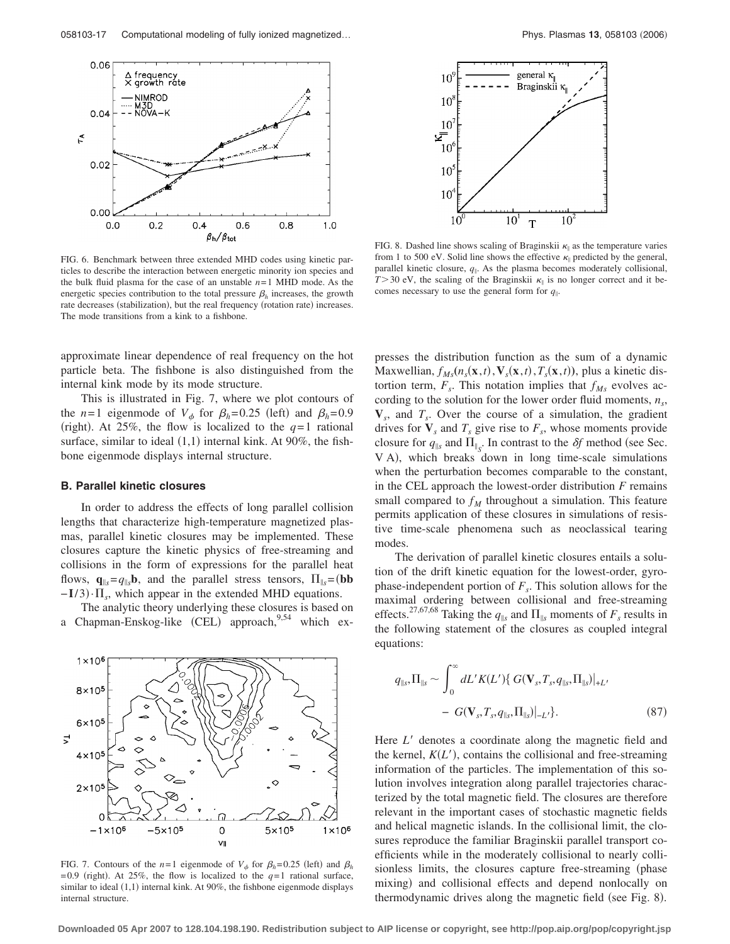

FIG. 6. Benchmark between three extended MHD codes using kinetic particles to describe the interaction between energetic minority ion species and the bulk fluid plasma for the case of an unstable *n*= 1 MHD mode. As the energetic species contribution to the total pressure  $\beta_h$  increases, the growth rate decreases (stabilization), but the real frequency (rotation rate) increases. The mode transitions from a kink to a fishbone.

approximate linear dependence of real frequency on the hot particle beta. The fishbone is also distinguished from the internal kink mode by its mode structure.

This is illustrated in Fig. 7, where we plot contours of the *n*=1 eigenmode of  $V_{\phi}$  for  $\beta_h$ =0.25 (left) and  $\beta_h$ =0.9 (right). At 25%, the flow is localized to the  $q=1$  rational surface, similar to ideal  $(1,1)$  internal kink. At 90%, the fishbone eigenmode displays internal structure.

### **B. Parallel kinetic closures**

In order to address the effects of long parallel collision lengths that characterize high-temperature magnetized plasmas, parallel kinetic closures may be implemented. These closures capture the kinetic physics of free-streaming and collisions in the form of expressions for the parallel heat flows,  $\mathbf{q}_{\parallel s} = q_{\parallel s} \mathbf{b}$ , and the parallel stress tensors,  $\Pi_{\parallel s} = (\mathbf{bb}$  $-$ **I**/3) $\cdot$   $\Pi_s$ , which appear in the extended MHD equations.

The analytic theory underlying these closures is based on a Chapman-Enskog-like (CEL) approach,<sup>9,54</sup> which ex-



FIG. 7. Contours of the  $n=1$  eigenmode of  $V_{\phi}$  for  $\beta_h$ =0.25 (left) and  $\beta_h$  $= 0.9$  (right). At 25%, the flow is localized to the  $q=1$  rational surface, similar to ideal (1,1) internal kink. At 90%, the fishbone eigenmode displays internal structure.



FIG. 8. Dashed line shows scaling of Braginskii  $\kappa_{\parallel}$  as the temperature varies from 1 to 500 eV. Solid line shows the effective  $\kappa_{\parallel}$  predicted by the general, parallel kinetic closure,  $q_{\parallel}$ . As the plasma becomes moderately collisional,  $T > 30$  eV, the scaling of the Braginskii  $\kappa_{\parallel}$  is no longer correct and it becomes necessary to use the general form for  $q_{\parallel}$ .

presses the distribution function as the sum of a dynamic Maxwellian,  $f_{Ms}(n_s(\mathbf{x}, t), \mathbf{V}_s(\mathbf{x}, t), T_s(\mathbf{x}, t))$ , plus a kinetic distortion term,  $F_s$ . This notation implies that  $f_{Ms}$  evolves according to the solution for the lower order fluid moments,  $n<sub>s</sub>$ ,  $V<sub>s</sub>$ , and  $T<sub>s</sub>$ . Over the course of a simulation, the gradient drives for  $V_s$  and  $T_s$  give rise to  $F_s$ , whose moments provide closure for  $q_{\parallel s}$  and  $\Pi_{\parallel s}$ . In contrast to the  $\delta f$  method (see Sec. V A), which breaks down in long time-scale simulations when the perturbation becomes comparable to the constant, in the CEL approach the lowest-order distribution *F* remains small compared to  $f_M$  throughout a simulation. This feature permits application of these closures in simulations of resistive time-scale phenomena such as neoclassical tearing modes.

The derivation of parallel kinetic closures entails a solution of the drift kinetic equation for the lowest-order, gyrophase-independent portion of  $F_s$ . This solution allows for the maximal ordering between collisional and free-streaming effects.<sup>27,67,68</sup> Taking the  $q_{\parallel s}$  and  $\Pi_{\parallel s}$  moments of  $F_s$  results in the following statement of the closures as coupled integral equations:

$$
q_{\parallel s}, \Pi_{\parallel s} \sim \int_0^\infty dL' K(L') \{ G(\mathbf{V}_s, T_s, q_{\parallel s}, \Pi_{\parallel s})|_{+L'}
$$

$$
- G(\mathbf{V}_s, T_s, q_{\parallel s}, \Pi_{\parallel s})|_{-L'} \}.
$$
(87)

Here *L'* denotes a coordinate along the magnetic field and the kernel,  $K(L')$ , contains the collisional and free-streaming information of the particles. The implementation of this solution involves integration along parallel trajectories characterized by the total magnetic field. The closures are therefore relevant in the important cases of stochastic magnetic fields and helical magnetic islands. In the collisional limit, the closures reproduce the familiar Braginskii parallel transport coefficients while in the moderately collisional to nearly collisionless limits, the closures capture free-streaming (phase mixing) and collisional effects and depend nonlocally on thermodynamic drives along the magnetic field (see Fig. 8).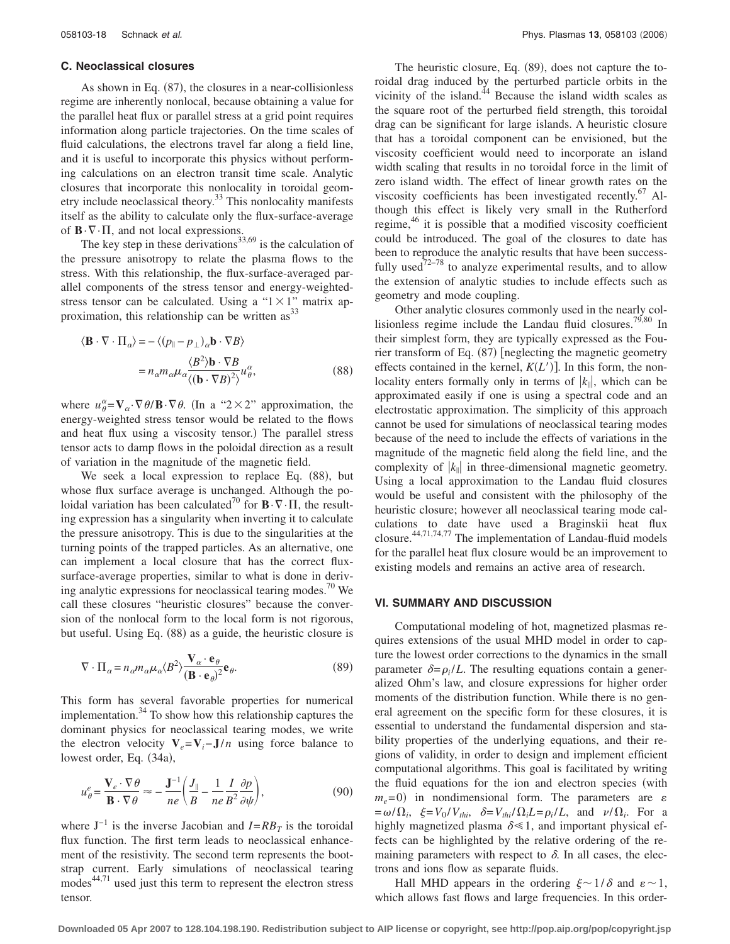# **C. Neoclassical closures**

As shown in Eq.  $(87)$ , the closures in a near-collisionless regime are inherently nonlocal, because obtaining a value for the parallel heat flux or parallel stress at a grid point requires information along particle trajectories. On the time scales of fluid calculations, the electrons travel far along a field line, and it is useful to incorporate this physics without performing calculations on an electron transit time scale. Analytic closures that incorporate this nonlocality in toroidal geometry include neoclassical theory.<sup>33</sup> This nonlocality manifests itself as the ability to calculate only the flux-surface-average of  $\mathbf{B} \cdot \nabla \cdot \Pi$ , and not local expressions.

The key step in these derivations<sup>33,69</sup> is the calculation of the pressure anisotropy to relate the plasma flows to the stress. With this relationship, the flux-surface-averaged parallel components of the stress tensor and energy-weightedstress tensor can be calculated. Using a " $1 \times 1$ " matrix approximation, this relationship can be written as  $33$ 

$$
\langle \mathbf{B} \cdot \nabla \cdot \Pi_{\alpha} \rangle = -\langle (p_{\parallel} - p_{\perp})_{\alpha} \mathbf{b} \cdot \nabla B \rangle
$$

$$
= n_{\alpha} m_{\alpha} \mu_{\alpha} \frac{\langle B^2 \rangle \mathbf{b} \cdot \nabla B}{\langle (\mathbf{b} \cdot \nabla B)^2 \rangle} u_{\theta}^{\alpha}, \tag{88}
$$

where  $u_{\theta}^{\alpha} = \mathbf{V}_{\alpha} \cdot \nabla \theta / \mathbf{B} \cdot \nabla \theta$ . (In a "2 × 2" approximation, the energy-weighted stress tensor would be related to the flows and heat flux using a viscosity tensor.) The parallel stress tensor acts to damp flows in the poloidal direction as a result of variation in the magnitude of the magnetic field.

We seek a local expression to replace Eq. (88), but whose flux surface average is unchanged. Although the poloidal variation has been calculated<sup>70</sup> for  $\mathbf{B} \cdot \nabla \cdot \Pi$ , the resulting expression has a singularity when inverting it to calculate the pressure anisotropy. This is due to the singularities at the turning points of the trapped particles. As an alternative, one can implement a local closure that has the correct fluxsurface-average properties, similar to what is done in deriving analytic expressions for neoclassical tearing modes.<sup>70</sup> We call these closures "heuristic closures" because the conversion of the nonlocal form to the local form is not rigorous, but useful. Using Eq. (88) as a guide, the heuristic closure is

$$
\nabla \cdot \Pi_{\alpha} = n_{\alpha} m_{\alpha} \mu_{\alpha} \langle B^2 \rangle \frac{\mathbf{V}_{\alpha} \cdot \mathbf{e}_{\theta}}{(\mathbf{B} \cdot \mathbf{e}_{\theta})^2} \mathbf{e}_{\theta}.
$$
 (89)

This form has several favorable properties for numerical implementation. $34$  To show how this relationship captures the dominant physics for neoclassical tearing modes, we write the electron velocity  $V_e = V_i - J/n$  using force balance to lowest order, Eq. (34a),

$$
u_{\theta}^{e} = \frac{\mathbf{V}_{e} \cdot \nabla \theta}{\mathbf{B} \cdot \nabla \theta} \approx -\frac{\mathbf{J}^{-1}}{ne} \left( \frac{J_{\parallel}}{B} - \frac{1}{ne} \frac{I}{B^{2}} \frac{\partial p}{\partial \psi} \right),\tag{90}
$$

where  $J^{-1}$  is the inverse Jacobian and  $I=R B_T$  is the toroidal flux function. The first term leads to neoclassical enhancement of the resistivity. The second term represents the bootstrap current. Early simulations of neoclassical tearing modes $44,71$  used just this term to represent the electron stress tensor.

The heuristic closure, Eq. (89), does not capture the toroidal drag induced by the perturbed particle orbits in the vicinity of the island. $^{44}$  Because the island width scales as the square root of the perturbed field strength, this toroidal drag can be significant for large islands. A heuristic closure that has a toroidal component can be envisioned, but the viscosity coefficient would need to incorporate an island width scaling that results in no toroidal force in the limit of zero island width. The effect of linear growth rates on the viscosity coefficients has been investigated recently. $^{67}$  Although this effect is likely very small in the Rutherford regime, $^{46}$  it is possible that a modified viscosity coefficient could be introduced. The goal of the closures to date has been to reproduce the analytic results that have been successfully used<sup>72–78</sup> to analyze experimental results, and to allow the extension of analytic studies to include effects such as geometry and mode coupling.

Other analytic closures commonly used in the nearly collisionless regime include the Landau fluid closures.<sup>79,80</sup> In their simplest form, they are typically expressed as the Fourier transform of Eq. (87) [neglecting the magnetic geometry effects contained in the kernel,  $K(L')$ ]. In this form, the nonlocality enters formally only in terms of  $|k_{\parallel}|$ , which can be approximated easily if one is using a spectral code and an electrostatic approximation. The simplicity of this approach cannot be used for simulations of neoclassical tearing modes because of the need to include the effects of variations in the magnitude of the magnetic field along the field line, and the complexity of  $|k_{\parallel}|$  in three-dimensional magnetic geometry. Using a local approximation to the Landau fluid closures would be useful and consistent with the philosophy of the heuristic closure; however all neoclassical tearing mode calculations to date have used a Braginskii heat flux closure.44,71,74,77 The implementation of Landau-fluid models for the parallel heat flux closure would be an improvement to existing models and remains an active area of research.

### **VI. SUMMARY AND DISCUSSION**

Computational modeling of hot, magnetized plasmas requires extensions of the usual MHD model in order to capture the lowest order corrections to the dynamics in the small parameter  $\delta = \rho_i / L$ . The resulting equations contain a generalized Ohm's law, and closure expressions for higher order moments of the distribution function. While there is no general agreement on the specific form for these closures, it is essential to understand the fundamental dispersion and stability properties of the underlying equations, and their regions of validity, in order to design and implement efficient computational algorithms. This goal is facilitated by writing the fluid equations for the ion and electron species (with  $m_e$ =0) in nondimensional form. The parameters are  $\varepsilon$  $=\omega/\Omega_i$ ,  $\xi = V_0/V_{\text{th}}$ ,  $\delta = V_{\text{th}}/\Omega_i L = \rho_i/L$ , and  $\nu/\Omega_i$ . For a highly magnetized plasma  $\delta \leq 1$ , and important physical effects can be highlighted by the relative ordering of the remaining parameters with respect to  $\delta$ . In all cases, the electrons and ions flow as separate fluids.

Hall MHD appears in the ordering  $\xi \sim 1/\delta$  and  $\varepsilon \sim 1$ , which allows fast flows and large frequencies. In this order-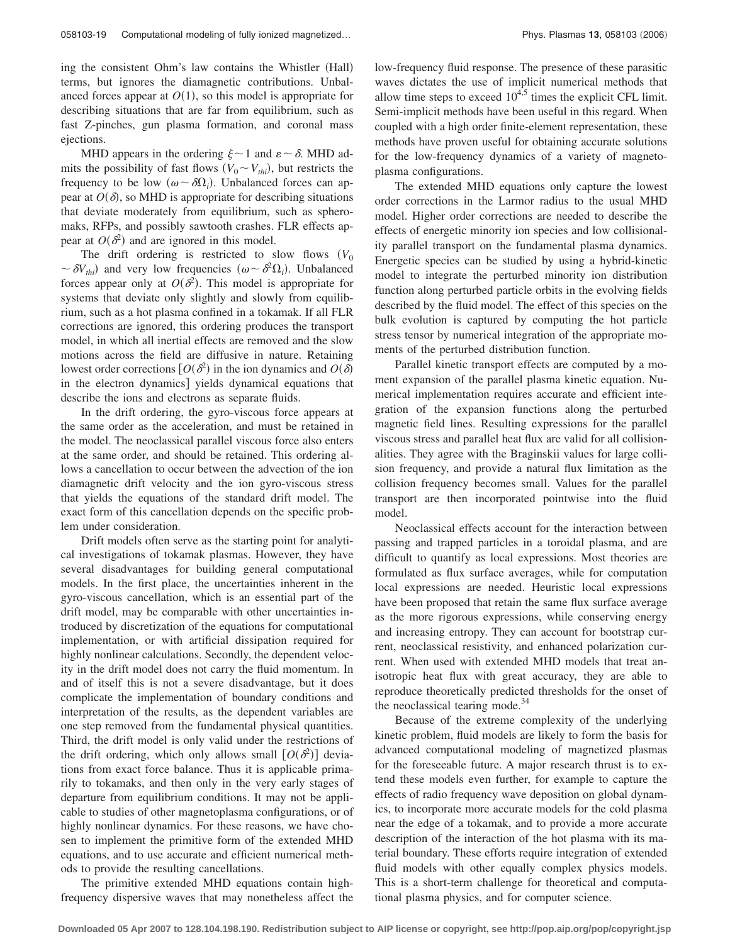ing the consistent Ohm's law contains the Whistler (Hall) terms, but ignores the diamagnetic contributions. Unbalanced forces appear at  $O(1)$ , so this model is appropriate for describing situations that are far from equilibrium, such as fast Z-pinches, gun plasma formation, and coronal mass ejections.

MHD appears in the ordering  $\xi \sim 1$  and  $\varepsilon \sim \delta$ . MHD admits the possibility of fast flows  $(V_0 \sim V_{thi})$ , but restricts the frequency to be low  $(\omega \sim \delta \Omega_i)$ . Unbalanced forces can appear at  $O(\delta)$ , so MHD is appropriate for describing situations that deviate moderately from equilibrium, such as spheromaks, RFPs, and possibly sawtooth crashes. FLR effects appear at  $O(\delta^2)$  and are ignored in this model.

The drift ordering is restricted to slow flows  $(V_0)$  $\sim \delta V_{thi}$  and very low frequencies ( $\omega \sim \delta^2 \Omega_i$ ). Unbalanced forces appear only at  $O(\delta^2)$ . This model is appropriate for systems that deviate only slightly and slowly from equilibrium, such as a hot plasma confined in a tokamak. If all FLR corrections are ignored, this ordering produces the transport model, in which all inertial effects are removed and the slow motions across the field are diffusive in nature. Retaining lowest order corrections  $[O(\delta^2)$  in the ion dynamics and  $O(\delta)$ in the electron dynamics yields dynamical equations that describe the ions and electrons as separate fluids.

In the drift ordering, the gyro-viscous force appears at the same order as the acceleration, and must be retained in the model. The neoclassical parallel viscous force also enters at the same order, and should be retained. This ordering allows a cancellation to occur between the advection of the ion diamagnetic drift velocity and the ion gyro-viscous stress that yields the equations of the standard drift model. The exact form of this cancellation depends on the specific problem under consideration.

Drift models often serve as the starting point for analytical investigations of tokamak plasmas. However, they have several disadvantages for building general computational models. In the first place, the uncertainties inherent in the gyro-viscous cancellation, which is an essential part of the drift model, may be comparable with other uncertainties introduced by discretization of the equations for computational implementation, or with artificial dissipation required for highly nonlinear calculations. Secondly, the dependent velocity in the drift model does not carry the fluid momentum. In and of itself this is not a severe disadvantage, but it does complicate the implementation of boundary conditions and interpretation of the results, as the dependent variables are one step removed from the fundamental physical quantities. Third, the drift model is only valid under the restrictions of the drift ordering, which only allows small  $[O(\delta^2)]$  deviations from exact force balance. Thus it is applicable primarily to tokamaks, and then only in the very early stages of departure from equilibrium conditions. It may not be applicable to studies of other magnetoplasma configurations, or of highly nonlinear dynamics. For these reasons, we have chosen to implement the primitive form of the extended MHD equations, and to use accurate and efficient numerical methods to provide the resulting cancellations.

The primitive extended MHD equations contain highfrequency dispersive waves that may nonetheless affect the low-frequency fluid response. The presence of these parasitic waves dictates the use of implicit numerical methods that allow time steps to exceed  $10^{4,5}$  times the explicit CFL limit. Semi-implicit methods have been useful in this regard. When coupled with a high order finite-element representation, these methods have proven useful for obtaining accurate solutions for the low-frequency dynamics of a variety of magnetoplasma configurations.

The extended MHD equations only capture the lowest order corrections in the Larmor radius to the usual MHD model. Higher order corrections are needed to describe the effects of energetic minority ion species and low collisionality parallel transport on the fundamental plasma dynamics. Energetic species can be studied by using a hybrid-kinetic model to integrate the perturbed minority ion distribution function along perturbed particle orbits in the evolving fields described by the fluid model. The effect of this species on the bulk evolution is captured by computing the hot particle stress tensor by numerical integration of the appropriate moments of the perturbed distribution function.

Parallel kinetic transport effects are computed by a moment expansion of the parallel plasma kinetic equation. Numerical implementation requires accurate and efficient integration of the expansion functions along the perturbed magnetic field lines. Resulting expressions for the parallel viscous stress and parallel heat flux are valid for all collisionalities. They agree with the Braginskii values for large collision frequency, and provide a natural flux limitation as the collision frequency becomes small. Values for the parallel transport are then incorporated pointwise into the fluid model.

Neoclassical effects account for the interaction between passing and trapped particles in a toroidal plasma, and are difficult to quantify as local expressions. Most theories are formulated as flux surface averages, while for computation local expressions are needed. Heuristic local expressions have been proposed that retain the same flux surface average as the more rigorous expressions, while conserving energy and increasing entropy. They can account for bootstrap current, neoclassical resistivity, and enhanced polarization current. When used with extended MHD models that treat anisotropic heat flux with great accuracy, they are able to reproduce theoretically predicted thresholds for the onset of the neoclassical tearing mode. $34$ 

Because of the extreme complexity of the underlying kinetic problem, fluid models are likely to form the basis for advanced computational modeling of magnetized plasmas for the foreseeable future. A major research thrust is to extend these models even further, for example to capture the effects of radio frequency wave deposition on global dynamics, to incorporate more accurate models for the cold plasma near the edge of a tokamak, and to provide a more accurate description of the interaction of the hot plasma with its material boundary. These efforts require integration of extended fluid models with other equally complex physics models. This is a short-term challenge for theoretical and computational plasma physics, and for computer science.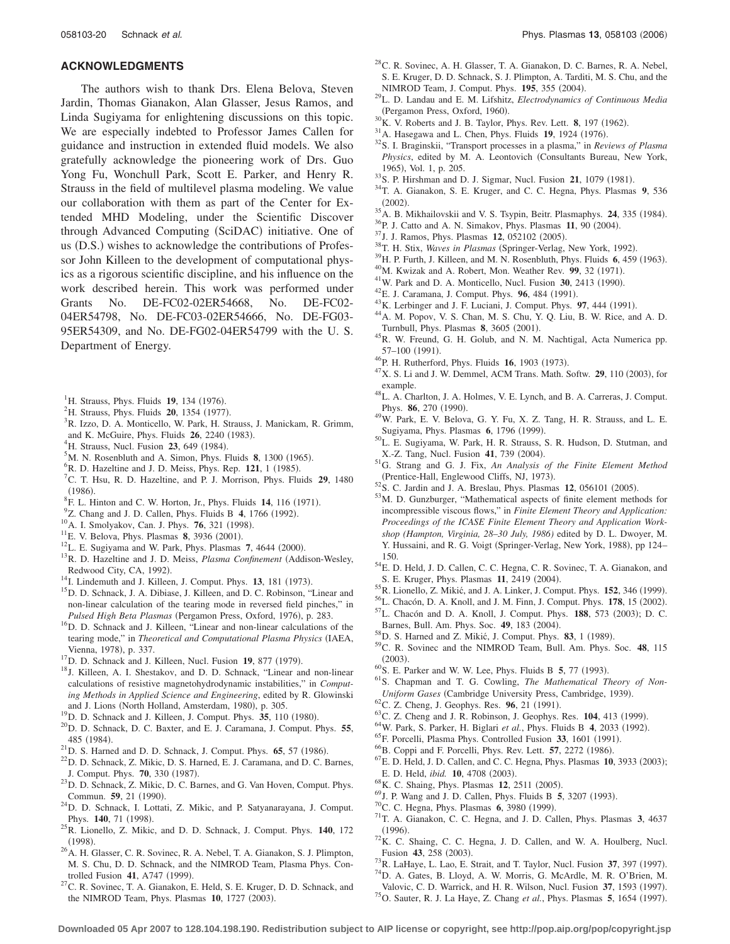## **ACKNOWLEDGMENTS**

The authors wish to thank Drs. Elena Belova, Steven Jardin, Thomas Gianakon, Alan Glasser, Jesus Ramos, and Linda Sugiyama for enlightening discussions on this topic. We are especially indebted to Professor James Callen for guidance and instruction in extended fluid models. We also gratefully acknowledge the pioneering work of Drs. Guo Yong Fu, Wonchull Park, Scott E. Parker, and Henry R. Strauss in the field of multilevel plasma modeling. We value our collaboration with them as part of the Center for Extended MHD Modeling, under the Scientific Discover through Advanced Computing (SciDAC) initiative. One of us (D.S.) wishes to acknowledge the contributions of Professor John Killeen to the development of computational physics as a rigorous scientific discipline, and his influence on the work described herein. This work was performed under Grants No. DE-FC02-02ER54668, No. DE-FC02- 04ER54798, No. DE-FC03-02ER54666, No. DE-FG03- 95ER54309, and No. DE-FG02-04ER54799 with the U. S. Department of Energy.

- <sup>1</sup>H. Strauss, Phys. Fluids **19**, 134 (1976).<br><sup>2</sup>H. Strauss, Phys. Fluids **20**, 1354 (1977)
- <sup>2</sup>H. Strauss, Phys. Fluids **20**, 1354 (1977).<br><sup>3</sup>P. Izzo D. A. Monticello, W. Berk, H. St.
- <sup>3</sup>R. Izzo, D. A. Monticello, W. Park, H. Strauss, J. Manickam, R. Grimm, and K. McGuire, Phys. Fluids **26**, 2240 (1983).
- <sup>4</sup>H. Strauss, Nucl. Fusion **23**, 649 (1984).<sup>5</sup>M. N. Bosophlyth and A. Simon, Phys. E.
- <sup>5</sup>M. N. Rosenbluth and A. Simon, Phys. Fluids **8**, 1300 (1965).
- <sup>6</sup>R. D. Hazeltine and J. D. Meiss, Phys. Rep. **121**, 1 (1985).
- C. T. Hsu, R. D. Hazeltine, and P. J. Morrison, Phys. Fluids **29**, 1480  $(1986)$ .<br> $8E_L$  L
- ${}^{8}$ F. L. Hinton and C. W. Horton, Jr., Phys. Fluids **14**, 116 (1971).
- <sup>9</sup>Z. Chang and J. D. Callen, Phys. Fluids B **4**, 1766 (1992).
- <sup>10</sup>A. I. Smolyakov, Can. J. Phys. **76**, 321 (1998).
- <sup>11</sup>E. V. Belova, Phys. Plasmas **8**, 3936 (2001).
- $12$ L. E. Sugiyama and W. Park, Phys. Plasmas 7, 4644 (2000).
- <sup>13</sup>R. D. Hazeltine and J. D. Meiss, *Plasma Confinement* (Addison-Wesley, Redwood City, CA, 1992).
- <sup>14</sup>I. Lindemuth and J. Killeen, J. Comput. Phys. **13**, 181 (1973).
- <sup>15</sup>D. D. Schnack, J. A. Dibiase, J. Killeen, and D. C. Robinson, "Linear and non-linear calculation of the tearing mode in reversed field pinches," in Pulsed High Beta Plasmas (Pergamon Press, Oxford, 1976), p. 283.
- $16$ D. D. Schnack and J. Killeen, "Linear and non-linear calculations of the tearing mode," in *Theoretical and Computational Plasma Physics* IAEA, Vienna, 1978), p. 337.
- <sup>17</sup>D. D. Schnack and J. Killeen, Nucl. Fusion **19**, 877 (1979).
- <sup>18</sup>J. Killeen, A. I. Shestakov, and D. D. Schnack, "Linear and non-linear calculations of resistive magnetohydrodynamic instabilities," in *Computing Methods in Applied Science and Engineering*, edited by R. Glowinski and J. Lions (North Holland, Amsterdam, 1980), p. 305.
- <sup>19</sup>D. D. Schnack and J. Killeen, J. Comput. Phys. **35**, 110 (1980).
- . 20D. D. Schnack, D. C. Baxter, and E. J. Caramana, J. Comput. Phys. **<sup>55</sup>**, 485 (1984).
- $^{21}$ D. S. Harned and D. D. Schnack, J. Comput. Phys.  $65$ , 57 (1986).
- $^{22}$ D. D. Schnack, Z. Mikic, D. S. Harned, E. J. Caramana, and D. C. Barnes, J. Comput. Phys. **70**, 330 (1987).
- <sup>23</sup>D. D. Schnack, Z. Mikic, D. C. Barnes, and G. Van Hoven, Comput. Phys. Commun. **59**, 21 (1990).
- <sup>24</sup>D. D. Schnack, I. Lottati, Z. Mikic, and P. Satyanarayana, J. Comput. Phys. 140, 71 (1998).
- . 25R. Lionello, Z. Mikic, and D. D. Schnack, J. Comput. Phys. **<sup>140</sup>**, 172  $(1998).$
- $^{26}A$ . H. Glasser, C. R. Sovinec, R. A. Nebel, T. A. Gianakon, S. J. Plimpton, M. S. Chu, D. D. Schnack, and the NIMROD Team, Plasma Phys. Controlled Fusion 41, A747 (1999).
- $^{27}$ C. R. Sovinec, T. A. Gianakon, E. Held, S. E. Kruger, D. D. Schnack, and the NIMROD Team, Phys. Plasmas 10, 1727 (2003).
- <sup>28</sup>C. R. Sovinec, A. H. Glasser, T. A. Gianakon, D. C. Barnes, R. A. Nebel, S. E. Kruger, D. D. Schnack, S. J. Plimpton, A. Tarditi, M. S. Chu, and the NIMROD Team, J. Comput. Phys. **195**, 355 (2004).
- . 29L. D. Landau and E. M. Lifshitz, *Electrodynamics of Continuous Media* (Pergamon Press, Oxford, 1960).
- <sup>30</sup>K. V. Roberts and J. B. Taylor, Phys. Rev. Lett. **8**, 197 (1962).
- <sup>31</sup>A. Hasegawa and L. Chen, Phys. Fluids **19**, 1924 (1976).
- . 32S. I. Braginskii, "Transport processes in a plasma," in *Reviews of Plasma Physics*, edited by M. A. Leontovich Consultants Bureau, New York, 1965), Vol. 1, p. 205.
- <sup>33</sup> S. P. Hirshman and D. J. Sigmar, Nucl. Fusion **21**, 1079 (1981).
- . 34T. A. Gianakon, S. E. Kruger, and C. C. Hegna, Phys. Plasmas **<sup>9</sup>**, 536  $(2002).$
- . 35A. B. Mikhailovskii and V. S. Tsypin, Beitr. Plasmaphys. **<sup>24</sup>**, 335 1984-<sup>35</sup> A. B. Mikhailovskii and V. S. Tsypin, Beitr. Plasmaphys. **24**, 335 (1984).  $^{36}$ P. J. Catto and A. N. Simakov, Phys. Plasmas **11**, 90 (2004).
- <sup>36</sup>P. J. Catto and A. N. Simakov, Phys. Plasmas **11**, 90 (2004).<sup>37</sup>J. J. Ramos, Phys. Plasmas **12**, 052102 (2005).
- 
- <sup>38</sup>T. H. Stix, *Waves in Plasmas* (Springer-Verlag, New York, 1992). <sup>38</sup>T. H. Stix, *Waves in Plasmas* (Springer-Verlag, New York, 1992).<br><sup>39</sup>H. P. Furth, J. Killeen, and M. N. Rosenbluth, Phys. Fluids **6**, 459 (1963)
- <sup>39</sup>H. P. Furth, J. Killeen, and M. N. Rosenbluth, Phys. Fluids 6, 459 (1963).<br><sup>40</sup>M. Kwizak and A. Robert, Mon. Weather Rev. **99**, 32 (1971).
- <sup>40</sup>M. Kwizak and A. Robert, Mon. Weather Rev. **99**, 32 (1971).<br><sup>41</sup>W. Park and D. A. Monticello, Nucl. Fusion **30**, 2413 (1990).
- <sup>41</sup>W. Park and D. A. Monticello, Nucl. Fusion **30**, 2413 (1990).<br><sup>42</sup>E. J. Caramana, J. Comput. Phys. **96**, 484 (1991).
- 
- <sup>42</sup>E. J. Caramana, J. Comput. Phys. **96**, 484 (1991). <sup>43</sup>K. Lerbinger and J. F. Luciani, J. Comput. Phys. **97**, 444 (1991).
- <sup>44</sup> A. M. Popov, V. S. Chan, M. S. Chu, Y. Q. Liu, B. W. Rice, and A. D. Turnbull, Phys. Plasmas 8, 3605 (2001).
- <sup>45</sup>R. W. Freund, G. H. Golub, and N. M. Nachtigal, Acta Numerica pp. 57-100 (1991).
- <sup>46</sup>P. H. Rutherford, Phys. Fluids **16**, 1903 (1973).
- <sup>40</sup> P. H. Rutherford, Phys. Fluids **16**, 1903 (1973).<br><sup>47</sup>X. S. Li and J. W. Demmel, ACM Trans. Math. Softw. **29**, 110 (2003), for
- example. 48L. A. Charlton, J. A. Holmes, V. E. Lynch, and B. A. Carreras, J. Comput. Phys. 86, 270 (1990).
- $^{49}$ W. Park, E. V. Belova, G. Y. Fu, X. Z. Tang, H. R. Strauss, and L. E. Sugiyama, Phys. Plasmas 6, 1796 (1999).
- . 50L. E. Sugiyama, W. Park, H. R. Strauss, S. R. Hudson, D. Stutman, and X.-Z. Tang, Nucl. Fusion 41, 739 (2004).
- . 51G. Strang and G. J. Fix, *An Analysis of the Finite Element Method* (Prentice-Hall, Englewood Cliffs, NJ, 1973).
- . 52S. C. Jardin and J. A. Breslau, Phys. Plasmas **<sup>12</sup>**, 056101 2005-
- 53M. D. Gunzburger, "Mathematical aspects of finite element methods for incompressible viscous flows," in *Finite Element Theory and Application: Proceedings of the ICASE Finite Element Theory and Application Workshop (Hampton, Virginia, 28–30 July, 1986)* edited by D. L. Dwoyer, M. Y. Hussaini, and R. G. Voigt (Springer-Verlag, New York, 1988), pp 124-
- 150.  $54E$ . D. Held, J. D. Callen, C. C. Hegna, C. R. Sovinec, T. A. Gianakon, and S. E. Kruger, Phys. Plasmas 11, 2419 (2004).
- . 55R. Lionello, Z. Mikić, and J. A. Linker, J. Comput. Phys. **<sup>152</sup>**, 346 1999-
- <sup>56</sup>L. Chacón, D. A. Knoll, and J. M. Finn, J. Comput. Phys. **178**, 15 (2002).
- <sup>50</sup>L. Chacón, D. A. Knoll, and J. M. Finn, J. Comput. Phys. **178**, 15 (2002).<br><sup>57</sup>L. Chacón and D. A. Knoll, J. Comput. Phys. **188**, 573 (2003); D. C. Barnes, Bull. Am. Phys. Soc. 49, 183 (2004).
- <sup>58</sup>D. S. Harned and Z. Mikić, J. Comput. Phys. **83**, 1 (1989).
- . 59C. R. Sovinec and the NIMROD Team, Bull. Am. Phys. Soc. **<sup>48</sup>**, 115  $(2003)$
- <sup>60</sup>S. E. Parker and W. W. Lee, Phys. Fluids B 5, 77 (1993).
- . 61S. Chapman and T. G. Cowling, *The Mathematical Theory of Non-Uniform Gases* (Cambridge University Press, Cambridge, 1939).
- <sup>62</sup>C. Z. Cheng, J. Geophys. Res. **96**, 21 (1991).
- <sup>63</sup>C. Z. Cheng and J. R. Robinson, J. Geophys. Res. **104**, 413 (1999).
- . 64W. Park, S. Parker, H. Biglari *et al.*, Phys. Fluids B **<sup>4</sup>**, 2033 1992-
- <sup>65</sup>F. Porcelli, Plasma Phys. Controlled Fusion 33, 1601 (1991).
- <sup>66</sup>B. Coppi and F. Porcelli, Phys. Rev. Lett. **57**, 2272 (1986).
- <sup>66</sup>B. Coppi and F. Porcelli, Phys. Rev. Lett. **57**, 2272 (1986).<br><sup>67</sup>E. D. Held, J. D. Callen, and C. C. Hegna, Phys. Plasmas **10**, 3933 (2003); E. D. Held, *ibid.* **10**, 4708 (2003).
- <sup>68</sup>K. C. Shaing, Phys. Plasmas **12**, 2511 (2005).
- <sup>68</sup>K. C. Shaing, Phys. Plasmas **12**, 2511 (2005).<br><sup>69</sup>J. P. Wang and J. D. Callen, Phys. Fluids B **5**, 3207 (1993) <sup>69</sup>J. P. Wang and J. D. Callen, Phys. Fluids B 5, 3207 (1993).<br><sup>70</sup>C. C. Hegna, Phys. Plasmas 6, 3980 (1999).
- 
- <sup>70</sup>C. C. Hegna, Phys. Plasmas **6**, 3980 (1999).<br><sup>71</sup>T. A. Gianakon, C. C. Hegna, and J. D. Callen, Phys. Plasmas **3**, 4637  $(1996).$
- $72$ K. C. Shaing, C. C. Hegna, J. D. Callen, and W. A. Houlberg, Nucl. Fusion 43, 258 (2003).
- <sup>73</sup>R. LaHaye, L. Lao, E. Strait, and T. Taylor, Nucl. Fusion **37**, 397 (1997). <sup>74</sup>D. A. Gates, B. Lloyd, A. W. Morris, G. McArdle, M. R. O'Brien, M.
- Valovic, C. D. Warrick, and H. R. Wilson, Nucl. Fusion 37, 1593 (1997). Valovic, C. D. Warrick, and H. R. Wilson, Nucl. Fusion 37, 1593 (1997).<br><sup>75</sup>O. Sauter, R. J. La Haye, Z. Chang *et al.*, Phys. Plasmas 5, 1654 (1997).